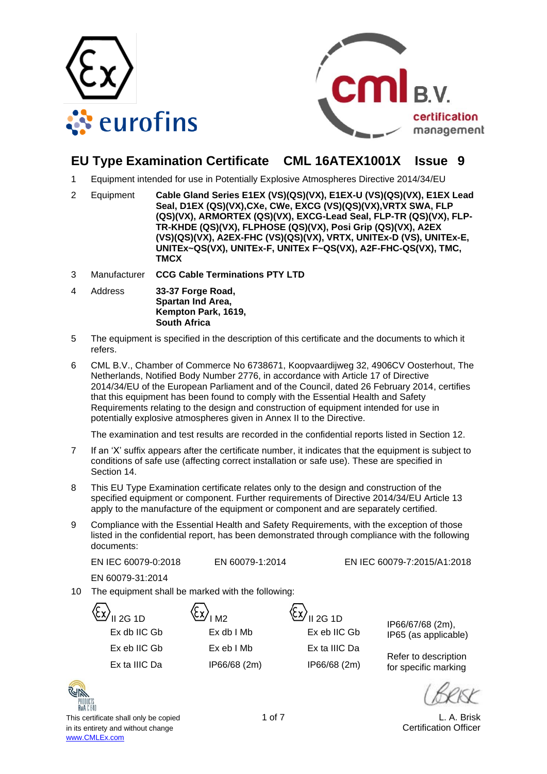



# **EU Type Examination Certificate CML 16ATEX1001X Issue 9**

- 1 Equipment intended for use in Potentially Explosive Atmospheres Directive 2014/34/EU
- 2 Equipment **Cable Gland Series E1EX (VS)(QS)(VX), E1EX-U (VS)(QS)(VX), E1EX Lead Seal, D1EX (QS)(VX),CXe, CWe, EXCG (VS)(QS)(VX),VRTX SWA, FLP (QS)(VX), ARMORTEX (QS)(VX), EXCG-Lead Seal, FLP-TR (QS)(VX), FLP-TR-KHDE (QS)(VX), FLPHOSE (QS)(VX), Posi Grip (QS)(VX), A2EX (VS)(QS)(VX), A2EX-FHC (VS)(QS)(VX), VRTX, UNITEx-D (VS), UNITEx-E, UNITEx~QS(VX), UNITEx-F, UNITEx F~QS(VX), A2F-FHC-QS(VX), TMC, TMCX**
- 3 Manufacturer **CCG Cable Terminations PTY LTD**
- 4 Address **33-37 Forge Road, Spartan Ind Area, Kempton Park, 1619, South Africa**
- 5 The equipment is specified in the description of this certificate and the documents to which it refers.
- 6 CML B.V., Chamber of Commerce No 6738671, Koopvaardijweg 32, 4906CV Oosterhout, The Netherlands, Notified Body Number 2776, in accordance with Article 17 of Directive 2014/34/EU of the European Parliament and of the Council, dated 26 February 2014, certifies that this equipment has been found to comply with the Essential Health and Safety Requirements relating to the design and construction of equipment intended for use in potentially explosive atmospheres given in Annex II to the Directive.

The examination and test results are recorded in the confidential reports listed in Section 12.

- 7 If an 'X' suffix appears after the certificate number, it indicates that the equipment is subject to conditions of safe use (affecting correct installation or safe use). These are specified in Section 14.
- 8 This EU Type Examination certificate relates only to the design and construction of the specified equipment or component. Further requirements of Directive 2014/34/EU Article 13 apply to the manufacture of the equipment or component and are separately certified.
- 9 Compliance with the Essential Health and Safety Requirements, with the exception of those listed in the confidential report, has been demonstrated through compliance with the following documents:

EN IEC 60079-0:2018 EN 60079-1:2014 EN IEC 60079-7:2015/A1:2018

EN 60079-31:2014

- 10 The equipment shall be marked with the following:
	-

| $II$ 2G 1D     | $\langle \mathcal{X} \rangle$ <sub>IM2</sub> | <sup>\(</sup> ଧ∕ଧ∕ <sub>II 2G 1D</sub> |
|----------------|----------------------------------------------|----------------------------------------|
| Ex db IIC Gb   | Ex db I Mb                                   | Ex eb IIC                              |
| Ex eb IIC Gb   | Ex eb I Mb                                   | Ex ta IIIC                             |
| Ey ta IIIC Dal | IPGR/GR/2m                                   | IPGR/GR                                |

Ex eb IIC Gb Ex eb I Mb Ex ta IIIC Da

IP66/67/68 (2m), Ex db IIC Gb Ex db I Mb Ex eb IIC Gb IP65 (as applicable)

Refer to description Ex ta IIIC Da IP66/68 (2m) IP66/68 (2m)  $\frac{1}{100}$  for specific marking

This certificate shall only be copied 1 of 7 and 1 of 7 and 1 of 7 and 1 of 7 and 1 of 7 and 1 of 7 and 1 of 7 and 1 of 7 and 1 of 7 and 1 of 7 and 1 of 7 and 1 of 7 and 1 of 7 and 1 of 7 and 1 of 7 and 1 of 7 and 1 of 7 a in its entirety and without change **Certification Officer** Certification Officer [www.CMLEx.com](http://www.cmlex.com/)

KUR **RvA** C.640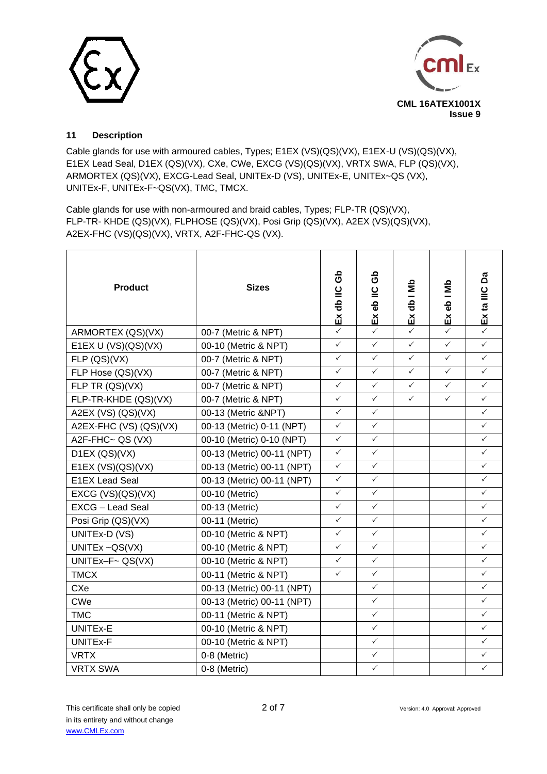



## **11 Description**

Cable glands for use with armoured cables, Types; E1EX (VS)(QS)(VX), E1EX-U (VS)(QS)(VX), E1EX Lead Seal, D1EX (QS)(VX), CXe, CWe, EXCG (VS)(QS)(VX), VRTX SWA, FLP (QS)(VX), ARMORTEX (QS)(VX), EXCG-Lead Seal, UNITEx-D (VS), UNITEx-E, UNITEx~QS (VX), UNITEx-F, UNITEx-F~QS(VX), TMC, TMCX.

Cable glands for use with non-armoured and braid cables, Types; FLP-TR (QS)(VX), FLP-TR- KHDE (QS)(VX), FLPHOSE (QS)(VX), Posi Grip (QS)(VX), A2EX (VS)(QS)(VX), A2EX-FHC (VS)(QS)(VX), VRTX, A2F-FHC-QS (VX).

| <b>Product</b>          | <b>Sizes</b>               | ය<br>උ<br>Ex db IIC | යි<br>Exeb <sub>IIC</sub> | Ex db I Mb   | Exeb I Mb    | ది<br>Ex ta IIIC |
|-------------------------|----------------------------|---------------------|---------------------------|--------------|--------------|------------------|
| ARMORTEX (QS)(VX)       | 00-7 (Metric & NPT)        | $\checkmark$        | $\checkmark$              | ✓            | ✓            |                  |
| E1EX U (VS)(QS)(VX)     | 00-10 (Metric & NPT)       | $\checkmark$        | $\checkmark$              | $\checkmark$ | $\checkmark$ | $\checkmark$     |
| FLP(QS)(VX)             | 00-7 (Metric & NPT)        | $\checkmark$        | $\checkmark$              | $\checkmark$ | $\checkmark$ | $\checkmark$     |
| FLP Hose (QS)(VX)       | 00-7 (Metric & NPT)        | $\checkmark$        | ✓                         | $\checkmark$ | $\checkmark$ | $\checkmark$     |
| FLP TR (QS)(VX)         | 00-7 (Metric & NPT)        | $\checkmark$        | $\checkmark$              | $\checkmark$ | $\checkmark$ | $\checkmark$     |
| FLP-TR-KHDE (QS)(VX)    | 00-7 (Metric & NPT)        | $\checkmark$        | $\checkmark$              | $\checkmark$ | $\checkmark$ | $\checkmark$     |
| A2EX (VS) $(QS)(VX)$    | 00-13 (Metric &NPT)        | $\checkmark$        | $\checkmark$              |              |              | $\checkmark$     |
| A2EX-FHC (VS) (QS)(VX)  | 00-13 (Metric) 0-11 (NPT)  | $\checkmark$        | $\checkmark$              |              |              | $\checkmark$     |
| A2F-FHC $\sim$ QS (VX)  | 00-10 (Metric) 0-10 (NPT)  | $\checkmark$        | $\checkmark$              |              |              | $\checkmark$     |
| D1EX (QS)(VX)           | 00-13 (Metric) 00-11 (NPT) | $\checkmark$        | $\checkmark$              |              |              | ✓                |
| E1EX $(VS)(QS)(VX)$     | 00-13 (Metric) 00-11 (NPT) | $\checkmark$        | $\checkmark$              |              |              | $\checkmark$     |
| <b>E1EX Lead Seal</b>   | 00-13 (Metric) 00-11 (NPT) | $\checkmark$        | $\checkmark$              |              |              | $\checkmark$     |
| EXCG (VS)(QS)(VX)       | 00-10 (Metric)             | $\checkmark$        | $\checkmark$              |              |              | $\checkmark$     |
| <b>EXCG - Lead Seal</b> | 00-13 (Metric)             | $\checkmark$        | $\checkmark$              |              |              | $\checkmark$     |
| Posi Grip (QS)(VX)      | 00-11 (Metric)             | $\checkmark$        | ✓                         |              |              | $\checkmark$     |
| UNITEx-D (VS)           | 00-10 (Metric & NPT)       | $\checkmark$        | $\checkmark$              |              |              | $\checkmark$     |
| UNITE $x \sim QS(VX)$   | 00-10 (Metric & NPT)       | $\checkmark$        | $\checkmark$              |              |              | $\checkmark$     |
| UNITEx-F~ $QS(VX)$      | 00-10 (Metric & NPT)       | $\checkmark$        | $\checkmark$              |              |              | $\checkmark$     |
| <b>TMCX</b>             | 00-11 (Metric & NPT)       | $\checkmark$        | $\checkmark$              |              |              | $\checkmark$     |
| <b>CXe</b>              | 00-13 (Metric) 00-11 (NPT) |                     | $\checkmark$              |              |              | $\checkmark$     |
| <b>CWe</b>              | 00-13 (Metric) 00-11 (NPT) |                     | $\checkmark$              |              |              | $\checkmark$     |
| <b>TMC</b>              | 00-11 (Metric & NPT)       |                     | $\checkmark$              |              |              | $\checkmark$     |
| UNITEx-E                | 00-10 (Metric & NPT)       |                     | $\checkmark$              |              |              | $\checkmark$     |
| UNITEx-F                | 00-10 (Metric & NPT)       |                     | $\checkmark$              |              |              | $\checkmark$     |
| <b>VRTX</b>             | 0-8 (Metric)               |                     | ✓                         |              |              | $\checkmark$     |
| <b>VRTX SWA</b>         | 0-8 (Metric)               |                     | $\checkmark$              |              |              | $\checkmark$     |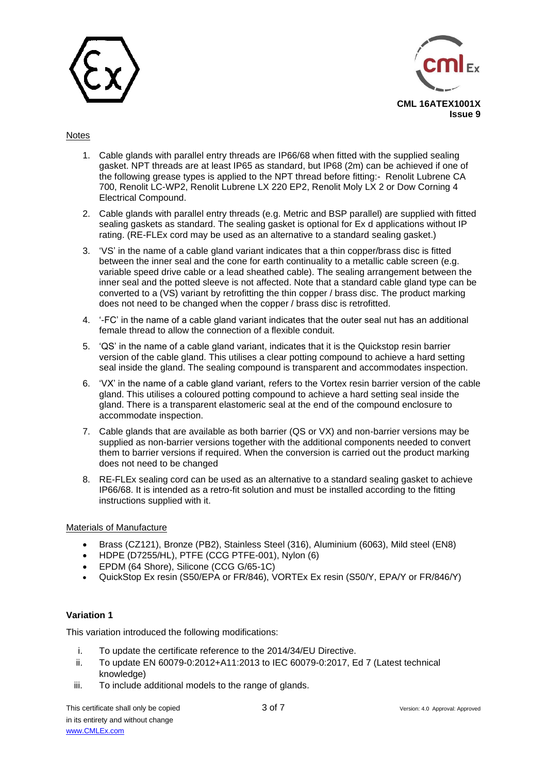



### Notes

- 1. Cable glands with parallel entry threads are IP66/68 when fitted with the supplied sealing gasket. NPT threads are at least IP65 as standard, but IP68 (2m) can be achieved if one of the following grease types is applied to the NPT thread before fitting:- Renolit Lubrene CA 700, Renolit LC-WP2, Renolit Lubrene LX 220 EP2, Renolit Moly LX 2 or Dow Corning 4 Electrical Compound.
- 2. Cable glands with parallel entry threads (e.g. Metric and BSP parallel) are supplied with fitted sealing gaskets as standard. The sealing gasket is optional for Ex d applications without IP rating. (RE-FLEx cord may be used as an alternative to a standard sealing gasket.)
- 3. 'VS' in the name of a cable gland variant indicates that a thin copper/brass disc is fitted between the inner seal and the cone for earth continuality to a metallic cable screen (e.g. variable speed drive cable or a lead sheathed cable). The sealing arrangement between the inner seal and the potted sleeve is not affected. Note that a standard cable gland type can be converted to a (VS) variant by retrofitting the thin copper / brass disc. The product marking does not need to be changed when the copper / brass disc is retrofitted.
- 4. '-FC' in the name of a cable gland variant indicates that the outer seal nut has an additional female thread to allow the connection of a flexible conduit.
- 5. 'QS' in the name of a cable gland variant, indicates that it is the Quickstop resin barrier version of the cable gland. This utilises a clear potting compound to achieve a hard setting seal inside the gland. The sealing compound is transparent and accommodates inspection.
- 6. 'VX' in the name of a cable gland variant, refers to the Vortex resin barrier version of the cable gland. This utilises a coloured potting compound to achieve a hard setting seal inside the gland. There is a transparent elastomeric seal at the end of the compound enclosure to accommodate inspection.
- 7. Cable glands that are available as both barrier (QS or VX) and non-barrier versions may be supplied as non-barrier versions together with the additional components needed to convert them to barrier versions if required. When the conversion is carried out the product marking does not need to be changed
- 8. RE-FLEx sealing cord can be used as an alternative to a standard sealing gasket to achieve IP66/68. It is intended as a retro-fit solution and must be installed according to the fitting instructions supplied with it.

## Materials of Manufacture

- Brass (CZ121), Bronze (PB2), Stainless Steel (316), Aluminium (6063), Mild steel (EN8)
- HDPE (D7255/HL), PTFE (CCG PTFE-001), Nylon (6)
- EPDM (64 Shore), Silicone (CCG G/65-1C)
- QuickStop Ex resin (S50/EPA or FR/846), VORTEx Ex resin (S50/Y, EPA/Y or FR/846/Y)

## **Variation 1**

This variation introduced the following modifications:

- i. To update the certificate reference to the 2014/34/EU Directive.
- ii. To update EN 60079-0:2012+A11:2013 to IEC 60079-0:2017, Ed 7 (Latest technical knowledge)
- iii. To include additional models to the range of glands.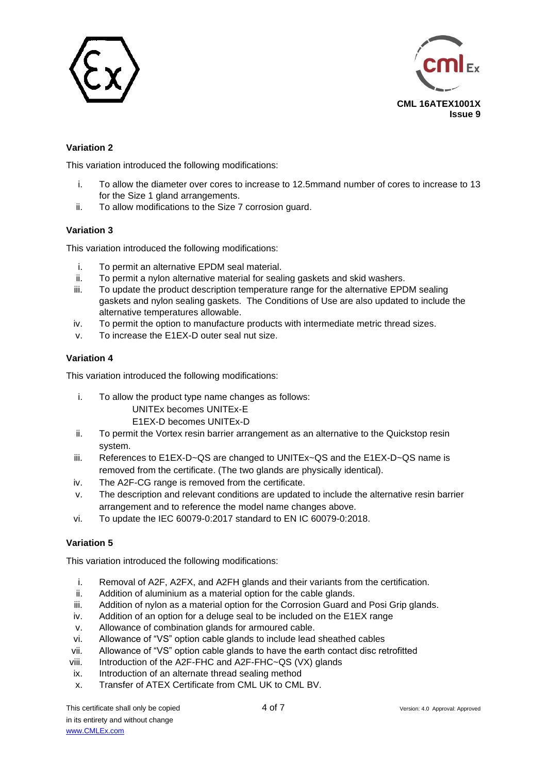



## **Variation 2**

This variation introduced the following modifications:

- i. To allow the diameter over cores to increase to 12.5mmand number of cores to increase to 13 for the Size 1 gland arrangements.
- ii. To allow modifications to the Size 7 corrosion guard.

## **Variation 3**

This variation introduced the following modifications:

- i. To permit an alternative EPDM seal material.
- ii. To permit a nylon alternative material for sealing gaskets and skid washers.
- iii. To update the product description temperature range for the alternative EPDM sealing gaskets and nylon sealing gaskets. The Conditions of Use are also updated to include the alternative temperatures allowable.
- iv. To permit the option to manufacture products with intermediate metric thread sizes.
- v. To increase the E1EX-D outer seal nut size.

## **Variation 4**

This variation introduced the following modifications:

i. To allow the product type name changes as follows:

#### UNITEx becomes UNITEx-E E1EX-D becomes UNITEx-D

- ii. To permit the Vortex resin barrier arrangement as an alternative to the Quickstop resin system.
- iii. References to E1EX-D~QS are changed to UNITEx~QS and the E1EX-D~QS name is removed from the certificate. (The two glands are physically identical).
- iv. The A2F-CG range is removed from the certificate.
- v. The description and relevant conditions are updated to include the alternative resin barrier arrangement and to reference the model name changes above.
- vi. To update the IEC 60079-0:2017 standard to EN IC 60079-0:2018.

## **Variation 5**

This variation introduced the following modifications:

- i. Removal of A2F, A2FX, and A2FH glands and their variants from the certification.
- ii. Addition of aluminium as a material option for the cable glands.
- iii. Addition of nylon as a material option for the Corrosion Guard and Posi Grip glands.
- iv. Addition of an option for a deluge seal to be included on the E1EX range
- v. Allowance of combination glands for armoured cable.
- vi. Allowance of "VS" option cable glands to include lead sheathed cables
- vii. Allowance of "VS" option cable glands to have the earth contact disc retrofitted
- viii. Introduction of the A2F-FHC and A2F-FHC~QS (VX) glands
- ix. Introduction of an alternate thread sealing method
- x. Transfer of ATEX Certificate from CML UK to CML BV.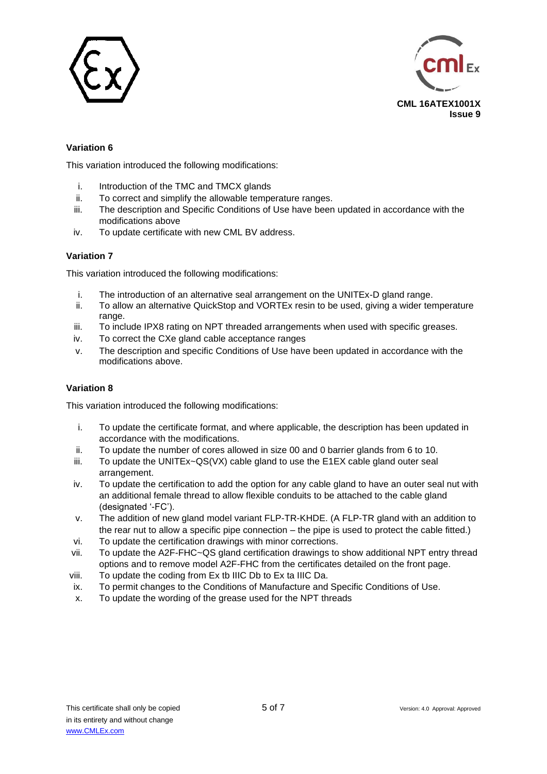



## **Variation 6**

This variation introduced the following modifications:

- i. Introduction of the TMC and TMCX glands
- ii. To correct and simplify the allowable temperature ranges.
- iii. The description and Specific Conditions of Use have been updated in accordance with the modifications above
- iv. To update certificate with new CML BV address.

### **Variation 7**

This variation introduced the following modifications:

- i. The introduction of an alternative seal arrangement on the UNITEx-D gland range.
- ii. To allow an alternative QuickStop and VORTEx resin to be used, giving a wider temperature range.
- iii. To include IPX8 rating on NPT threaded arrangements when used with specific greases.
- iv. To correct the CXe gland cable acceptance ranges
- v. The description and specific Conditions of Use have been updated in accordance with the modifications above.

### **Variation 8**

This variation introduced the following modifications:

- i. To update the certificate format, and where applicable, the description has been updated in accordance with the modifications.
- ii. To update the number of cores allowed in size 00 and 0 barrier glands from 6 to 10.
- $iii.$  To update the UNITEx $\sim QS(VX)$  cable gland to use the E1EX cable gland outer seal arrangement.
- iv. To update the certification to add the option for any cable gland to have an outer seal nut with an additional female thread to allow flexible conduits to be attached to the cable gland (designated '-FC').
- v. The addition of new gland model variant FLP-TR-KHDE. (A FLP-TR gland with an addition to the rear nut to allow a specific pipe connection – the pipe is used to protect the cable fitted.)
- vi. To update the certification drawings with minor corrections.
- vii. To update the A2F-FHC~QS gland certification drawings to show additional NPT entry thread options and to remove model A2F-FHC from the certificates detailed on the front page.
- viii. To update the coding from Ex tb IIIC Db to Ex ta IIIC Da.
- ix. To permit changes to the Conditions of Manufacture and Specific Conditions of Use.
- x. To update the wording of the grease used for the NPT threads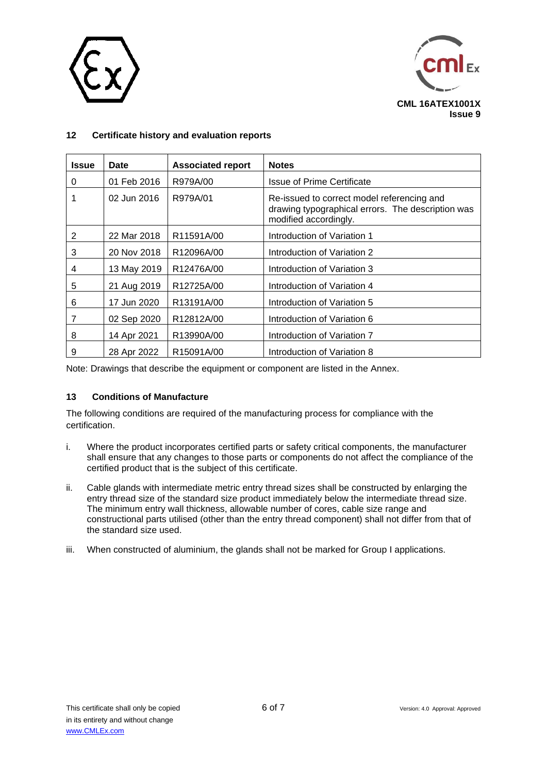



## **12 Certificate history and evaluation reports**

| <b>Issue</b> | Date        | <b>Associated report</b> | <b>Notes</b>                                                                                                             |
|--------------|-------------|--------------------------|--------------------------------------------------------------------------------------------------------------------------|
| 0            | 01 Feb 2016 | R979A/00                 | <b>Issue of Prime Certificate</b>                                                                                        |
|              | 02 Jun 2016 | R979A/01                 | Re-issued to correct model referencing and<br>drawing typographical errors. The description was<br>modified accordingly. |
| 2            | 22 Mar 2018 | R <sub>11591</sub> A/00  | Introduction of Variation 1                                                                                              |
| 3            | 20 Nov 2018 | R12096A/00               | Introduction of Variation 2                                                                                              |
| 4            | 13 May 2019 | R12476A/00               | Introduction of Variation 3                                                                                              |
| 5            | 21 Aug 2019 | R12725A/00               | Introduction of Variation 4                                                                                              |
| 6            | 17 Jun 2020 | R13191A/00               | Introduction of Variation 5                                                                                              |
| 7            | 02 Sep 2020 | R12812A/00               | Introduction of Variation 6                                                                                              |
| 8            | 14 Apr 2021 | R13990A/00               | Introduction of Variation 7                                                                                              |
| 9            | 28 Apr 2022 | R <sub>15091A</sub> /00  | Introduction of Variation 8                                                                                              |

Note: Drawings that describe the equipment or component are listed in the Annex.

## **13 Conditions of Manufacture**

The following conditions are required of the manufacturing process for compliance with the certification.

- i. Where the product incorporates certified parts or safety critical components, the manufacturer shall ensure that any changes to those parts or components do not affect the compliance of the certified product that is the subject of this certificate.
- ii. Cable glands with intermediate metric entry thread sizes shall be constructed by enlarging the entry thread size of the standard size product immediately below the intermediate thread size. The minimum entry wall thickness, allowable number of cores, cable size range and constructional parts utilised (other than the entry thread component) shall not differ from that of the standard size used.
- iii. When constructed of aluminium, the glands shall not be marked for Group I applications.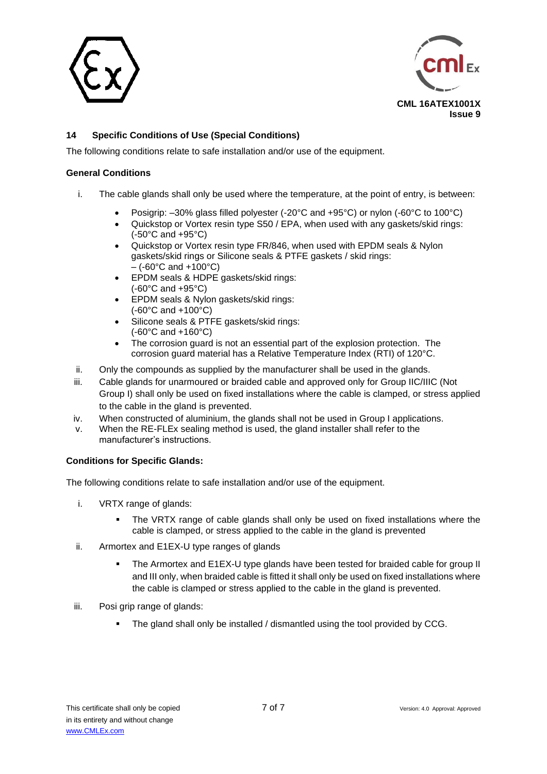



## **14 Specific Conditions of Use (Special Conditions)**

The following conditions relate to safe installation and/or use of the equipment.

### **General Conditions**

- i. The cable glands shall only be used where the temperature, at the point of entry, is between:
	- Posigrip: –30% glass filled polyester (-20°C and +95°C) or nylon (-60°C to 100°C)
	- Quickstop or Vortex resin type S50 / EPA, when used with any gaskets/skid rings: (-50°C and +95°C)
	- Quickstop or Vortex resin type FR/846, when used with EPDM seals & Nylon gaskets/skid rings or Silicone seals & PTFE gaskets / skid rings:  $-$  (-60 $^{\circ}$ C and +100 $^{\circ}$ C)
	- EPDM seals & HDPE gaskets/skid rings: (-60°C and +95°C)
	- EPDM seals & Nylon gaskets/skid rings: (-60°C and +100°C)
	- Silicone seals & PTFE gaskets/skid rings: (-60°C and +160°C)
	- The corrosion guard is not an essential part of the explosion protection. The corrosion guard material has a Relative Temperature Index (RTI) of 120°C.
- ii. Only the compounds as supplied by the manufacturer shall be used in the glands.
- iii. Cable glands for unarmoured or braided cable and approved only for Group IIC/IIIC (Not Group I) shall only be used on fixed installations where the cable is clamped, or stress applied to the cable in the gland is prevented.
- iv. When constructed of aluminium, the glands shall not be used in Group I applications.
- v. When the RE-FLEx sealing method is used, the gland installer shall refer to the manufacturer's instructions.

#### **Conditions for Specific Glands:**

The following conditions relate to safe installation and/or use of the equipment.

- i. VRTX range of glands:
	- The VRTX range of cable glands shall only be used on fixed installations where the cable is clamped, or stress applied to the cable in the gland is prevented
- ii. Armortex and E1EX-U type ranges of glands
	- The Armortex and E1EX-U type glands have been tested for braided cable for group II and III only, when braided cable is fitted it shall only be used on fixed installations where the cable is clamped or stress applied to the cable in the gland is prevented.
- iii. Posi grip range of glands:
	- The gland shall only be installed / dismantled using the tool provided by CCG.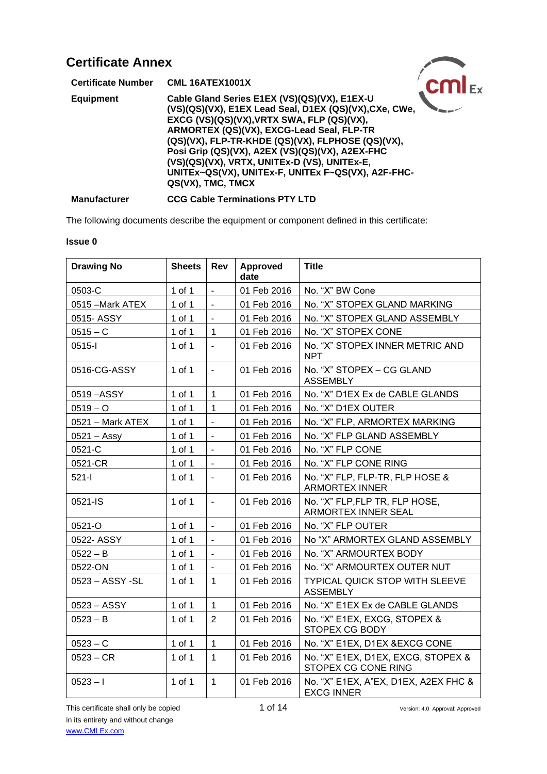| <b>Certificate Number</b> | <b>CML 16ATEX1001X</b>                                                                                                                                                                                                                                                                                                                                                                                                               |  |
|---------------------------|--------------------------------------------------------------------------------------------------------------------------------------------------------------------------------------------------------------------------------------------------------------------------------------------------------------------------------------------------------------------------------------------------------------------------------------|--|
| <b>Equipment</b>          | Cable Gland Series E1EX (VS)(QS)(VX), E1EX-U<br>(VS)(QS)(VX), E1EX Lead Seal, D1EX (QS)(VX), CXe, CWe,<br>EXCG (VS)(QS)(VX), VRTX SWA, FLP (QS)(VX),<br>ARMORTEX (QS)(VX), EXCG-Lead Seal, FLP-TR<br>(QS)(VX), FLP-TR-KHDE (QS)(VX), FLPHOSE (QS)(VX),<br>Posi Grip (QS)(VX), A2EX (VS)(QS)(VX), A2EX-FHC<br>(VS)(QS)(VX), VRTX, UNITEx-D (VS), UNITEx-E,<br>UNITEx~QS(VX), UNITEx-F, UNITEx F~QS(VX), A2F-FHC-<br>QS(VX), TMC, TMCX |  |
| <b>Manufacturer</b>       | <b>CCG Cable Terminations PTY LTD</b>                                                                                                                                                                                                                                                                                                                                                                                                |  |

The following documents describe the equipment or component defined in this certificate:

### **Issue 0**

| <b>Drawing No</b> | <b>Sheets</b> | Rev                      | <b>Approved</b><br>date | <b>Title</b>                                              |
|-------------------|---------------|--------------------------|-------------------------|-----------------------------------------------------------|
| 0503-C            | 1 of 1        | $\overline{a}$           | 01 Feb 2016             | No. "X" BW Cone                                           |
| 0515 - Mark ATEX  | 1 of 1        | $\blacksquare$           | 01 Feb 2016             | No. "X" STOPEX GLAND MARKING                              |
| 0515-ASSY         | 1 of 1        | $\blacksquare$           | 01 Feb 2016             | No. "X" STOPEX GLAND ASSEMBLY                             |
| $0515 - C$        | 1 of 1        | $\mathbf{1}$             | 01 Feb 2016             | No. "X" STOPEX CONE                                       |
| 0515-l            | 1 of 1        | $\blacksquare$           | 01 Feb 2016             | No. "X" STOPEX INNER METRIC AND<br><b>NPT</b>             |
| 0516-CG-ASSY      | 1 of 1        | $\blacksquare$           | 01 Feb 2016             | No. "X" STOPEX - CG GLAND<br><b>ASSEMBLY</b>              |
| 0519-ASSY         | 1 of 1        | 1                        | 01 Feb 2016             | No. "X" D1EX Ex de CABLE GLANDS                           |
| $0519 - O$        | 1 of 1        | $\mathbf{1}$             | 01 Feb 2016             | No. "X" D1EX OUTER                                        |
| 0521 - Mark ATEX  | 1 of 1        | $\blacksquare$           | 01 Feb 2016             | No. "X" FLP, ARMORTEX MARKING                             |
| $0521 -$ Assy     | 1 of 1        | $\blacksquare$           | 01 Feb 2016             | No. "X" FLP GLAND ASSEMBLY                                |
| 0521-C            | 1 of 1        | $\blacksquare$           | 01 Feb 2016             | No. "X" FLP CONE                                          |
| 0521-CR           | 1 of 1        | $\blacksquare$           | 01 Feb 2016             | No. "X" FLP CONE RING                                     |
| $521-I$           | 1 of 1        | $\blacksquare$           | 01 Feb 2016             | No. "X" FLP, FLP-TR, FLP HOSE &<br><b>ARMORTEX INNER</b>  |
| 0521-IS           | 1 of 1        | $\overline{\phantom{a}}$ | 01 Feb 2016             | No. "X" FLP, FLP TR, FLP HOSE,<br>ARMORTEX INNER SEAL     |
| 0521-O            | 1 of 1        | $\overline{a}$           | 01 Feb 2016             | No. "X" FLP OUTER                                         |
| 0522- ASSY        | 1 of 1        | $\blacksquare$           | 01 Feb 2016             | No "X" ARMORTEX GLAND ASSEMBLY                            |
| $0522 - B$        | 1 of 1        | $\blacksquare$           | 01 Feb 2016             | No. "X" ARMOURTEX BODY                                    |
| 0522-ON           | 1 of 1        |                          | 01 Feb 2016             | No. "X" ARMOURTEX OUTER NUT                               |
| 0523 - ASSY -SL   | 1 of 1        | $\mathbf{1}$             | 01 Feb 2016             | <b>TYPICAL QUICK STOP WITH SLEEVE</b><br><b>ASSEMBLY</b>  |
| 0523 - ASSY       | 1 of 1        | $\mathbf{1}$             | 01 Feb 2016             | No. "X" E1EX Ex de CABLE GLANDS                           |
| $0523 - B$        | 1 of 1        | $\overline{2}$           | 01 Feb 2016             | No. "X" E1EX, EXCG, STOPEX &<br>STOPEX CG BODY            |
| $0523 - C$        | 1 of 1        | $\mathbf{1}$             | 01 Feb 2016             | No. "X" E1EX, D1EX & EXCG CONE                            |
| $0523 - CR$       | 1 of 1        | $\mathbf{1}$             | 01 Feb 2016             | No. "X" E1EX, D1EX, EXCG, STOPEX &<br>STOPEX CG CONE RING |
| $0523 - 1$        | 1 of 1        | $\mathbf{1}$             | 01 Feb 2016             | No. "X" E1EX, A"EX, D1EX, A2EX FHC &<br><b>EXCG INNER</b> |

This certificate shall only be copied 1 of 14 Version: 4.0 Approval: Approved in its entirety and without change [www.CMLEx.com](http://www.cmlex.com/)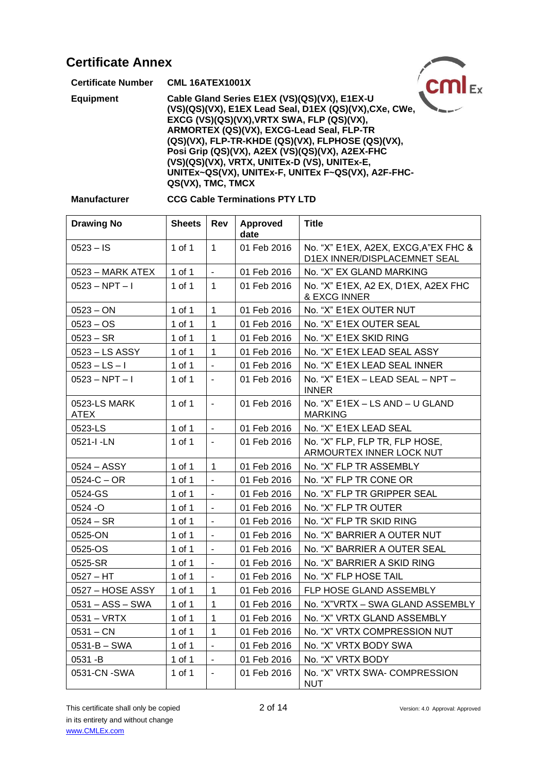| <b>Certificate Annex</b>  |                                                                                                                                                                                                                                                                                                                                                                                                                                      |  |
|---------------------------|--------------------------------------------------------------------------------------------------------------------------------------------------------------------------------------------------------------------------------------------------------------------------------------------------------------------------------------------------------------------------------------------------------------------------------------|--|
| <b>Certificate Number</b> | <b>CML 16ATEX1001X</b>                                                                                                                                                                                                                                                                                                                                                                                                               |  |
| <b>Equipment</b>          | Cable Gland Series E1EX (VS)(QS)(VX), E1EX-U<br>(VS)(QS)(VX), E1EX Lead Seal, D1EX (QS)(VX), CXe, CWe,<br>EXCG (VS)(QS)(VX), VRTX SWA, FLP (QS)(VX),<br>ARMORTEX (QS)(VX), EXCG-Lead Seal, FLP-TR<br>(QS)(VX), FLP-TR-KHDE (QS)(VX), FLPHOSE (QS)(VX),<br>Posi Grip (QS)(VX), A2EX (VS)(QS)(VX), A2EX-FHC<br>(VS)(QS)(VX), VRTX, UNITEx-D (VS), UNITEx-E,<br>UNITEx~QS(VX), UNITEx-F, UNITEx F~QS(VX), A2F-FHC-<br>QS(VX), TMC, TMCX |  |

| <b>Manufacturer</b> |
|---------------------|
|---------------------|

## **Manufacturer CCG Cable Terminations PTY LTD**

| <b>Drawing No</b>           | <b>Sheets</b> | Rev            | <b>Approved</b><br>date | <b>Title</b>                                                         |
|-----------------------------|---------------|----------------|-------------------------|----------------------------------------------------------------------|
| $0523 - IS$                 | 1 of 1        | $\mathbf{1}$   | 01 Feb 2016             | No. "X" E1EX, A2EX, EXCG, A"EX FHC &<br>D1EX INNER/DISPLACEMNET SEAL |
| 0523 – MARK ATEX            | 1 of 1        | $\blacksquare$ | 01 Feb 2016             | No. "X" EX GLAND MARKING                                             |
| 0523 – NPT – I              | 1 of 1        | $\mathbf{1}$   | 01 Feb 2016             | No. "X" E1EX, A2 EX, D1EX, A2EX FHC<br>& EXCG INNER                  |
| $0523 - ON$                 | 1 of 1        | 1              | 01 Feb 2016             | No. "X" E1EX OUTER NUT                                               |
| $0523 - OS$                 | 1 of 1        | 1              | 01 Feb 2016             | No. "X" E1EX OUTER SEAL                                              |
| $0523 - SR$                 | 1 of 1        | $\mathbf{1}$   | 01 Feb 2016             | No. "X" E1EX SKID RING                                               |
| 0523 - LS ASSY              | 1 of 1        | $\mathbf{1}$   | 01 Feb 2016             | No. "X" E1EX LEAD SEAL ASSY                                          |
| $0523 - LS - I$             | 1 of 1        | $\blacksquare$ | 01 Feb 2016             | No. "X" E1EX LEAD SEAL INNER                                         |
| $0523 - NPT - I$            | 1 of 1        | $\blacksquare$ | 01 Feb 2016             | No. "X" E1EX - LEAD SEAL - NPT -<br><b>INNER</b>                     |
| 0523-LS MARK<br><b>ATEX</b> | 1 of 1        | $\blacksquare$ | 01 Feb 2016             | No. "X" E1EX - LS AND - U GLAND<br><b>MARKING</b>                    |
| 0523-LS                     | $1$ of $1$    |                | 01 Feb 2016             | No. "X" E1EX LEAD SEAL                                               |
| 0521-I-LN                   | 1 of 1        | $\blacksquare$ | 01 Feb 2016             | No. "X" FLP, FLP TR, FLP HOSE,<br>ARMOURTEX INNER LOCK NUT           |
| 0524 - ASSY                 | 1 of 1        | $\mathbf{1}$   | 01 Feb 2016             | No. "X" FLP TR ASSEMBLY                                              |
| $0524-C - OR$               | 1 of 1        | $\blacksquare$ | 01 Feb 2016             | No. "X" FLP TR CONE OR                                               |
| 0524-GS                     | 1 of 1        | $\blacksquare$ | 01 Feb 2016             | No. "X" FLP TR GRIPPER SEAL                                          |
| 0524 -O                     | 1 of 1        | $\blacksquare$ | 01 Feb 2016             | No. "X" FLP TR OUTER                                                 |
| $0524 - SR$                 | 1 of 1        | ä,             | 01 Feb 2016             | No. "X" FLP TR SKID RING                                             |
| 0525-ON                     | 1 of 1        | $\blacksquare$ | 01 Feb 2016             | No. "X" BARRIER A OUTER NUT                                          |
| 0525-OS                     | 1 of 1        | $\blacksquare$ | 01 Feb 2016             | No. "X" BARRIER A OUTER SEAL                                         |
| 0525-SR                     | $1$ of $1$    | $\blacksquare$ | 01 Feb 2016             | No. "X" BARRIER A SKID RING                                          |
| $0527 - HT$                 | 1 of 1        | ÷,             | 01 Feb 2016             | No. "X" FLP HOSE TAIL                                                |
| 0527 - HOSE ASSY            | 1 of 1        | 1              | 01 Feb 2016             | FLP HOSE GLAND ASSEMBLY                                              |
| 0531 - ASS - SWA            | 1 of 1        | $\mathbf 1$    | 01 Feb 2016             | No. "X"VRTX - SWA GLAND ASSEMBLY                                     |
| 0531 - VRTX                 | 1 of 1        | $\mathbf 1$    | 01 Feb 2016             | No. "X" VRTX GLAND ASSEMBLY                                          |
| $0531 - CN$                 | 1 of 1        | 1              | 01 Feb 2016             | No. "X" VRTX COMPRESSION NUT                                         |
| $0531 - B - SWA$            | 1 of 1        | $\blacksquare$ | 01 Feb 2016             | No. "X" VRTX BODY SWA                                                |
| 0531 -B                     | 1 of 1        | $\blacksquare$ | 01 Feb 2016             | No. "X" VRTX BODY                                                    |
| 0531-CN -SWA                | 1 of 1        | $\blacksquare$ | 01 Feb 2016             | No. "X" VRTX SWA- COMPRESSION<br><b>NUT</b>                          |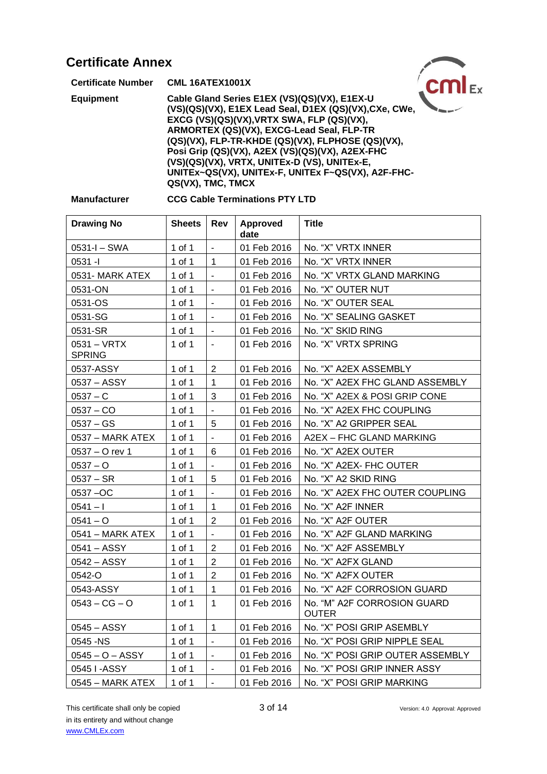| <b>Certificate Annex</b>  |                                                                                                                                                                                                                                                                                                                                                                                                                                      |  |
|---------------------------|--------------------------------------------------------------------------------------------------------------------------------------------------------------------------------------------------------------------------------------------------------------------------------------------------------------------------------------------------------------------------------------------------------------------------------------|--|
| <b>Certificate Number</b> | <b>CML 16ATEX1001X</b>                                                                                                                                                                                                                                                                                                                                                                                                               |  |
| <b>Equipment</b>          | Cable Gland Series E1EX (VS)(QS)(VX), E1EX-U<br>(VS)(QS)(VX), E1EX Lead Seal, D1EX (QS)(VX), CXe, CWe,<br>EXCG (VS)(QS)(VX), VRTX SWA, FLP (QS)(VX),<br>ARMORTEX (QS)(VX), EXCG-Lead Seal, FLP-TR<br>(QS)(VX), FLP-TR-KHDE (QS)(VX), FLPHOSE (QS)(VX),<br>Posi Grip (QS)(VX), A2EX (VS)(QS)(VX), A2EX-FHC<br>(VS)(QS)(VX), VRTX, UNITEx-D (VS), UNITEx-E,<br>UNITEx~QS(VX), UNITEx-F, UNITEx F~QS(VX), A2F-FHC-<br>QS(VX), TMC, TMCX |  |

### **Manufacturer CCG Cable Terminations PTY LTD**

| <b>Drawing No</b>              | Sheets | <b>Rev</b>               | Approved<br>date | <b>Title</b>                                |
|--------------------------------|--------|--------------------------|------------------|---------------------------------------------|
| 0531-I - SWA                   | 1 of 1 | $\blacksquare$           | 01 Feb 2016      | No. "X" VRTX INNER                          |
| 0531 -l                        | 1 of 1 | $\mathbf 1$              | 01 Feb 2016      | No. "X" VRTX INNER                          |
| 0531- MARK ATEX                | 1 of 1 |                          | 01 Feb 2016      | No. "X" VRTX GLAND MARKING                  |
| 0531-ON                        | 1 of 1 | $\overline{\phantom{a}}$ | 01 Feb 2016      | No. "X" OUTER NUT                           |
| 0531-OS                        | 1 of 1 | $\overline{\phantom{a}}$ | 01 Feb 2016      | No. "X" OUTER SEAL                          |
| 0531-SG                        | 1 of 1 | $\blacksquare$           | 01 Feb 2016      | No. "X" SEALING GASKET                      |
| 0531-SR                        | 1 of 1 | $\blacksquare$           | 01 Feb 2016      | No. "X" SKID RING                           |
| $0531 - VRTX$<br><b>SPRING</b> | 1 of 1 | $\blacksquare$           | 01 Feb 2016      | No. "X" VRTX SPRING                         |
| 0537-ASSY                      | 1 of 1 | $\overline{2}$           | 01 Feb 2016      | No. "X" A2EX ASSEMBLY                       |
| 0537 - ASSY                    | 1 of 1 | $\mathbf{1}$             | 01 Feb 2016      | No. "X" A2EX FHC GLAND ASSEMBLY             |
| $0537 - C$                     | 1 of 1 | 3                        | 01 Feb 2016      | No. "X" A2EX & POSI GRIP CONE               |
| $0537 - CO$                    | 1 of 1 | $\blacksquare$           | 01 Feb 2016      | No. "X" A2EX FHC COUPLING                   |
| 0537 – GS                      | 1 of 1 | 5                        | 01 Feb 2016      | No. "X" A2 GRIPPER SEAL                     |
| 0537 - MARK ATEX               | 1 of 1 | $\blacksquare$           | 01 Feb 2016      | A2EX - FHC GLAND MARKING                    |
| 0537 - O rev 1                 | 1 of 1 | 6                        | 01 Feb 2016      | No. "X" A2EX OUTER                          |
| $0537 - O$                     | 1 of 1 |                          | 01 Feb 2016      | No. "X" A2EX- FHC OUTER                     |
| $0537 - SR$                    | 1 of 1 | 5                        | 01 Feb 2016      | No. "X" A2 SKID RING                        |
| 0537-OC                        | 1 of 1 | $\blacksquare$           | 01 Feb 2016      | No. "X" A2EX FHC OUTER COUPLING             |
| 0541 – I                       | 1 of 1 | 1                        | 01 Feb 2016      | No. "X" A2F INNER                           |
| 0541 – O                       | 1 of 1 | $\overline{2}$           | 01 Feb 2016      | No. "X" A2F OUTER                           |
| 0541 - MARK ATEX               | 1 of 1 | $\blacksquare$           | 01 Feb 2016      | No. "X" A2F GLAND MARKING                   |
| 0541 - ASSY                    | 1 of 1 | $\overline{2}$           | 01 Feb 2016      | No. "X" A2F ASSEMBLY                        |
| 0542 - ASSY                    | 1 of 1 | $\overline{2}$           | 01 Feb 2016      | No. "X" A2FX GLAND                          |
| 0542-O                         | 1 of 1 | $\overline{2}$           | 01 Feb 2016      | No. "X" A2FX OUTER                          |
| 0543-ASSY                      | 1 of 1 | $\mathbf 1$              | 01 Feb 2016      | No. "X" A2F CORROSION GUARD                 |
| $0543 - CG - O$                | 1 of 1 | $\mathbf{1}$             | 01 Feb 2016      | No. "M" A2F CORROSION GUARD<br><b>OUTER</b> |
| 0545 - ASSY                    | 1 of 1 | 1                        | 01 Feb 2016      | No. "X" POSI GRIP ASEMBLY                   |
| 0545 - NS                      | 1 of 1 | $\blacksquare$           | 01 Feb 2016      | No. "X" POSI GRIP NIPPLE SEAL               |
| $0545 - 0 - ASSY$              | 1 of 1 | $\blacksquare$           | 01 Feb 2016      | No. "X" POSI GRIP OUTER ASSEMBLY            |
| 0545 I-ASSY                    | 1 of 1 | $\overline{\phantom{a}}$ | 01 Feb 2016      | No. "X" POSI GRIP INNER ASSY                |
| 0545 - MARK ATEX               | 1 of 1 | $\overline{a}$           | 01 Feb 2016      | No. "X" POSI GRIP MARKING                   |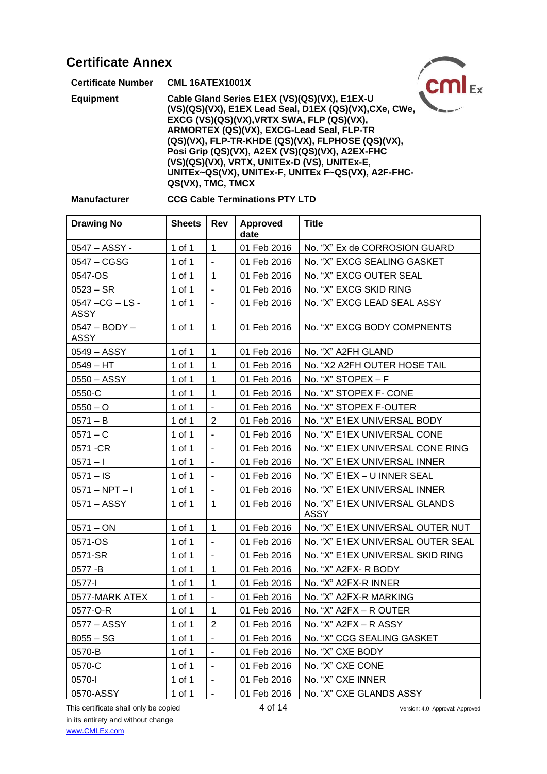| <b>Certificate Annex</b>  |                                                                                                                                                                                                                                                                                                                                                                                                                                      |  |
|---------------------------|--------------------------------------------------------------------------------------------------------------------------------------------------------------------------------------------------------------------------------------------------------------------------------------------------------------------------------------------------------------------------------------------------------------------------------------|--|
| <b>Certificate Number</b> | <b>CML 16ATEX1001X</b>                                                                                                                                                                                                                                                                                                                                                                                                               |  |
| <b>Equipment</b>          | Cable Gland Series E1EX (VS)(QS)(VX), E1EX-U<br>(VS)(QS)(VX), E1EX Lead Seal, D1EX (QS)(VX), CXe, CWe,<br>EXCG (VS)(QS)(VX), VRTX SWA, FLP (QS)(VX),<br>ARMORTEX (QS)(VX), EXCG-Lead Seal, FLP-TR<br>(QS)(VX), FLP-TR-KHDE (QS)(VX), FLPHOSE (QS)(VX),<br>Posi Grip (QS)(VX), A2EX (VS)(QS)(VX), A2EX-FHC<br>(VS)(QS)(VX), VRTX, UNITEx-D (VS), UNITEx-E,<br>UNITEx~QS(VX), UNITEx-F, UNITEx F~QS(VX), A2F-FHC-<br>QS(VX), TMC, TMCX |  |

## **Manufacturer CCG Cable Terminations PTY LTD**

| <b>Drawing No</b>               | <b>Sheets</b> | Rev                      | <b>Approved</b><br>date | <b>Title</b>                                 |
|---------------------------------|---------------|--------------------------|-------------------------|----------------------------------------------|
| 0547 - ASSY -                   | 1 of 1        | $\mathbf{1}$             | 01 Feb 2016             | No. "X" Ex de CORROSION GUARD                |
| 0547 - CGSG                     | 1 of 1        | $\sim$                   | 01 Feb 2016             | No. "X" EXCG SEALING GASKET                  |
| 0547-OS                         | 1 of 1        | $\overline{1}$           | 01 Feb 2016             | No. "X" EXCG OUTER SEAL                      |
| $0523 - SR$                     | 1 of 1        | $\sim$                   | 01 Feb 2016             | No. "X" EXCG SKID RING                       |
| 0547 - CG - LS -<br><b>ASSY</b> | 1 of 1        | $\blacksquare$           | 01 Feb 2016             | No. "X" EXCG LEAD SEAL ASSY                  |
| $0547 - BODY -$<br><b>ASSY</b>  | 1 of 1        | $\mathbf{1}$             | 01 Feb 2016             | No. "X" EXCG BODY COMPNENTS                  |
| 0549 - ASSY                     | 1 of 1        | $\overline{1}$           | 01 Feb 2016             | No. "X" A2FH GLAND                           |
| $0549 - HT$                     | 1 of 1        | $\overline{1}$           | 01 Feb 2016             | No. "X2 A2FH OUTER HOSE TAIL                 |
| 0550 - ASSY                     | 1 of 1        | $\mathbf{1}$             | 01 Feb 2016             | No. "X" $STOPEX - F$                         |
| 0550-C                          | 1 of 1        | $\overline{1}$           | 01 Feb 2016             | No. "X" STOPEX F- CONE                       |
| $0550 - O$                      | 1 of 1        | $\blacksquare$           | 01 Feb 2016             | No. "X" STOPEX F-OUTER                       |
| $0571 - B$                      | 1 of 1        | 2                        | 01 Feb 2016             | No. "X" E1EX UNIVERSAL BODY                  |
| $0571 - C$                      | 1 of 1        | $\sim$                   | 01 Feb 2016             | No. "X" E1EX UNIVERSAL CONE                  |
| 0571-CR                         | 1 of 1        | $\blacksquare$           | 01 Feb 2016             | No. "X" E1EX UNIVERSAL CONE RING             |
| $0571 - 1$                      | 1 of 1        | $\blacksquare$           | 01 Feb 2016             | No. "X" E1EX UNIVERSAL INNER                 |
| $0571 - IS$                     | 1 of 1        | $\blacksquare$           | 01 Feb 2016             | No. "X" E1EX - U INNER SEAL                  |
| $0571 - NPT - I$                | 1 of 1        | $\blacksquare$           | 01 Feb 2016             | No. "X" E1EX UNIVERSAL INNER                 |
| 0571 - ASSY                     | 1 of 1        | $\mathbf 1$              | 01 Feb 2016             | No. "X" E1EX UNIVERSAL GLANDS<br><b>ASSY</b> |
| $0571 - ON$                     | 1 of 1        | $\mathbf{1}$             | 01 Feb 2016             | No. "X" E1EX UNIVERSAL OUTER NUT             |
| 0571-OS                         | 1 of 1        | $\blacksquare$           | 01 Feb 2016             | No. "X" E1EX UNIVERSAL OUTER SEAL            |
| 0571-SR                         | 1 of 1        | $\blacksquare$           | 01 Feb 2016             | No. "X" E1EX UNIVERSAL SKID RING             |
| 0577-B                          | 1 of 1        | $\mathbf 1$              | 01 Feb 2016             | No. "X" A2FX- R BODY                         |
| $0577 - 1$                      | 1 of 1        | $\mathbf{1}$             | 01 Feb 2016             | No. "X" A2FX-R INNER                         |
| 0577-MARK ATEX                  | 1 of 1        | $\blacksquare$           | 01 Feb 2016             | No. "X" A2FX-R MARKING                       |
| 0577-O-R                        | 1 of 1        | $\mathbf{1}$             | 01 Feb 2016             | No. "X" A2FX – R OUTER                       |
| 0577 – ASSY                     | 1 of 1        | $\overline{2}$           | 01 Feb 2016             | No. "X" A2FX - R ASSY                        |
| $8055 - SG$                     | 1 of 1        | $\blacksquare$           | 01 Feb 2016             | No. "X" CCG SEALING GASKET                   |
| 0570-B                          | 1 of 1        | $\blacksquare$           | 01 Feb 2016             | No. "X" CXE BODY                             |
| 0570-C                          | 1 of 1        | $\overline{\phantom{a}}$ | 01 Feb 2016             | No. "X" CXE CONE                             |
| 0570-l                          | 1 of 1        | $\blacksquare$           | 01 Feb 2016             | No. "X" CXE INNER                            |
| 0570-ASSY                       | 1 of 1        |                          | 01 Feb 2016             | No. "X" CXE GLANDS ASSY                      |

This certificate shall only be copied 4 of 14 Version: 4.0 Approval: Approved in its entirety and without change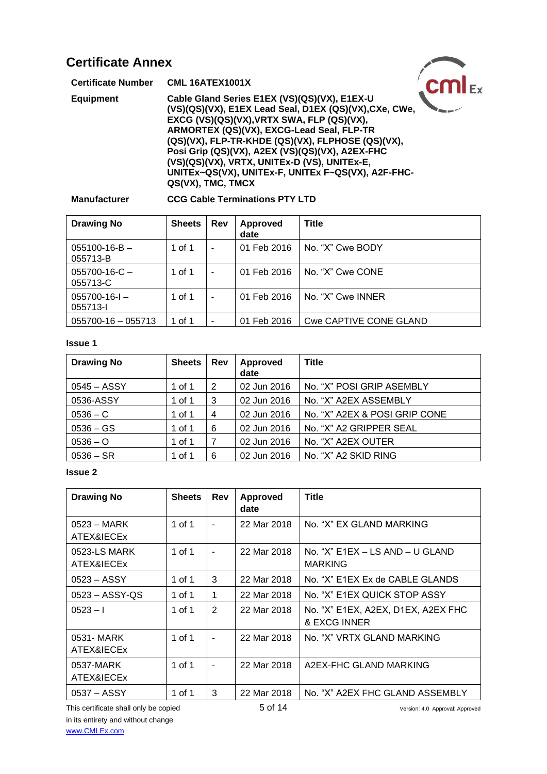| <b>Certificate Annex</b>  |                                                                                                                                                                                                                                                                                                                                                                                                                                      |  |
|---------------------------|--------------------------------------------------------------------------------------------------------------------------------------------------------------------------------------------------------------------------------------------------------------------------------------------------------------------------------------------------------------------------------------------------------------------------------------|--|
| <b>Certificate Number</b> | <b>CML 16ATEX1001X</b>                                                                                                                                                                                                                                                                                                                                                                                                               |  |
| <b>Equipment</b>          | Cable Gland Series E1EX (VS)(QS)(VX), E1EX-U<br>(VS)(QS)(VX), E1EX Lead Seal, D1EX (QS)(VX), CXe, CWe,<br>EXCG (VS)(QS)(VX), VRTX SWA, FLP (QS)(VX),<br>ARMORTEX (QS)(VX), EXCG-Lead Seal, FLP-TR<br>(QS)(VX), FLP-TR-KHDE (QS)(VX), FLPHOSE (QS)(VX),<br>Posi Grip (QS)(VX), A2EX (VS)(QS)(VX), A2EX-FHC<br>(VS)(QS)(VX), VRTX, UNITEx-D (VS), UNITEx-E,<br>UNITEx~QS(VX), UNITEx-F, UNITEx F~QS(VX), A2F-FHC-<br>QS(VX), TMC, TMCX |  |

## **Manufacturer CCG Cable Terminations PTY LTD**

| <b>Drawing No</b>               | <b>Sheets</b> | <b>Rev</b>               | <b>Approved</b><br>date | <b>Title</b>           |
|---------------------------------|---------------|--------------------------|-------------------------|------------------------|
| $055100 - 16 - B -$<br>055713-B | 1 of 1        | ۰                        | 01 Feb 2016             | No. "X" Cwe BODY       |
| $055700 - 16 - C -$<br>055713-C | 1 of 1        | $\overline{\phantom{a}}$ | 01 Feb 2016             | No. "X" Cwe CONE       |
| $055700-16-1$<br>055713-1       | 1 of 1        | $\overline{\phantom{a}}$ | 01 Feb 2016             | No. "X" Cwe INNER      |
| $055700 - 16 - 055713$          | 1 of 1        | ٠                        | 01 Feb 2016             | Cwe CAPTIVE CONE GLAND |

### **Issue 1**

| <b>Drawing No</b> | <b>Sheets</b> | <b>Rev</b>     | Approved<br>date | <b>Title</b>                  |
|-------------------|---------------|----------------|------------------|-------------------------------|
| $0545 - ASSY$     | 1 of 1        | 2              | 02 Jun 2016      | No. "X" POSI GRIP ASEMBLY     |
| 0536-ASSY         | 1 of 1        | 3              | 02 Jun 2016      | No. "X" A2EX ASSEMBLY         |
| $0536 - C$        | 1 of 1        | 4              | 02 Jun 2016      | No. "X" A2EX & POSI GRIP CONE |
| $0536 - GS$       | 1 of 1        | 6              | 02 Jun 2016      | No. "X" A2 GRIPPER SEAL       |
| $0536 - O$        | 1 of 1        | $\overline{7}$ | 02 Jun 2016      | No. "X" A2EX OUTER            |
| $0536 - SR$       | 1 of 1        | 6              | 02 Jun 2016      | No. "X" A2 SKID RING          |

### **Issue 2**

| <b>Drawing No</b>                  | <b>Sheets</b> | Rev                      | Approved<br>date | <b>Title</b>                                       |
|------------------------------------|---------------|--------------------------|------------------|----------------------------------------------------|
| $0523 - \text{MARK}$<br>ATEX&IECEx | 1 of 1        | $\overline{\phantom{a}}$ | 22 Mar 2018      | No. "X" EX GLAND MARKING                           |
| 0523-LS MARK<br>ATEX&IECEx         | 1 of 1        | $\overline{\phantom{a}}$ | 22 Mar 2018      | No. "X" E1EX – LS AND – U GLAND<br><b>MARKING</b>  |
| $0523 - ASSY$                      | 1 of 1        | 3                        | 22 Mar 2018      | No. "X" E1EX Ex de CABLE GLANDS                    |
| $0523 - ASSY-OS$                   | 1 of 1        | 1                        | 22 Mar 2018      | No. "X" E1EX QUICK STOP ASSY                       |
| $0523 - 1$                         | 1 of 1        | 2                        | 22 Mar 2018      | No. "X" E1EX, A2EX, D1EX, A2EX FHC<br>& EXCG INNER |
| 0531-MARK<br>ATEX&IECEx            | 1 of 1        | $\blacksquare$           | 22 Mar 2018      | No. "X" VRTX GLAND MARKING                         |
| 0537-MARK<br>ATEX&IECEx            | 1 of 1        | $\overline{\phantom{a}}$ | 22 Mar 2018      | A2EX-FHC GLAND MARKING                             |
| 0537 – ASSY                        | 1 of 1        | 3                        | 22 Mar 2018      | No. "X" A2EX FHC GLAND ASSEMBLY                    |

This certificate shall only be copied  $5$  of 14 Version: 4.0 Approval: Approved in its entirety and without change [www.CMLEx.com](http://www.cmlex.com/)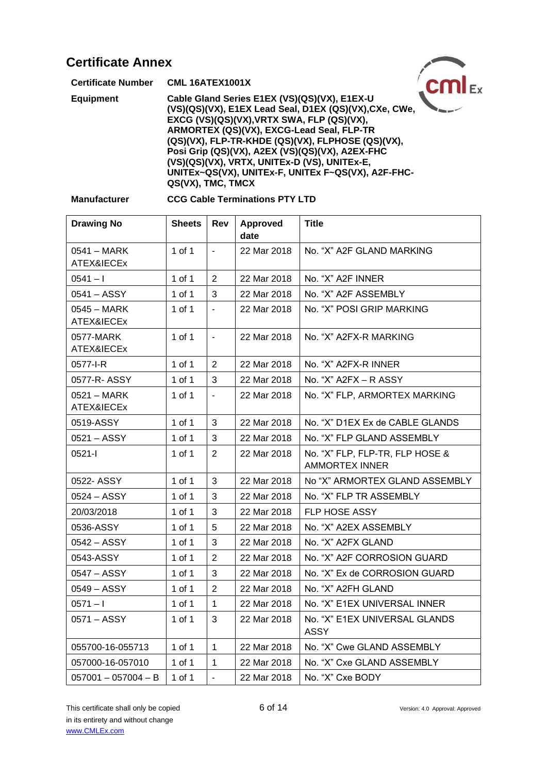| <b>Certificate Annex</b>  |                                                                                                                                                                                                                                                                                                                                                                                                                                      |  |
|---------------------------|--------------------------------------------------------------------------------------------------------------------------------------------------------------------------------------------------------------------------------------------------------------------------------------------------------------------------------------------------------------------------------------------------------------------------------------|--|
| <b>Certificate Number</b> | <b>CML 16ATEX1001X</b>                                                                                                                                                                                                                                                                                                                                                                                                               |  |
| <b>Equipment</b>          | Cable Gland Series E1EX (VS)(QS)(VX), E1EX-U<br>(VS)(QS)(VX), E1EX Lead Seal, D1EX (QS)(VX), CXe, CWe,<br>EXCG (VS)(QS)(VX), VRTX SWA, FLP (QS)(VX),<br>ARMORTEX (QS)(VX), EXCG-Lead Seal, FLP-TR<br>(QS)(VX), FLP-TR-KHDE (QS)(VX), FLPHOSE (QS)(VX),<br>Posi Grip (QS)(VX), A2EX (VS)(QS)(VX), A2EX-FHC<br>(VS)(QS)(VX), VRTX, UNITEx-D (VS), UNITEx-E,<br>UNITEx~QS(VX), UNITEx-F, UNITEx F~QS(VX), A2F-FHC-<br>QS(VX), TMC, TMCX |  |

#### **CCG Cable Terminations PTY LTD**

| <b>Drawing No</b>         | <b>Sheets</b> | Rev            | Approved<br>date | <b>Title</b>                                             |
|---------------------------|---------------|----------------|------------------|----------------------------------------------------------|
| 0541 - MARK<br>ATEX&IECEx | 1 of 1        | $\blacksquare$ | 22 Mar 2018      | No. "X" A2F GLAND MARKING                                |
| $0541 - 1$                | 1 of 1        | $\overline{2}$ | 22 Mar 2018      | No. "X" A2F INNER                                        |
| 0541 – ASSY               | 1 of 1        | 3              | 22 Mar 2018      | No. "X" A2F ASSEMBLY                                     |
| 0545 - MARK<br>ATEX&IECEx | 1 of 1        | $\blacksquare$ | 22 Mar 2018      | No. "X" POSI GRIP MARKING                                |
| 0577-MARK<br>ATEX&IECEx   | 1 of 1        | $\blacksquare$ | 22 Mar 2018      | No. "X" A2FX-R MARKING                                   |
| 0577-I-R                  | $1$ of $1$    | $\overline{2}$ | 22 Mar 2018      | No. "X" A2FX-R INNER                                     |
| 0577-R-ASSY               | 1 of 1        | 3              | 22 Mar 2018      | No. "X" A2FX - R ASSY                                    |
| 0521 - MARK<br>ATEX&IECEx | 1 of 1        |                | 22 Mar 2018      | No. "X" FLP, ARMORTEX MARKING                            |
| 0519-ASSY                 | 1 of 1        | 3              | 22 Mar 2018      | No. "X" D1EX Ex de CABLE GLANDS                          |
| 0521 - ASSY               | 1 of 1        | 3              | 22 Mar 2018      | No. "X" FLP GLAND ASSEMBLY                               |
| $0521 -$                  | 1 of 1        | $\overline{2}$ | 22 Mar 2018      | No. "X" FLP, FLP-TR, FLP HOSE &<br><b>AMMORTEX INNER</b> |
| 0522- ASSY                | 1 of 1        | 3              | 22 Mar 2018      | No "X" ARMORTEX GLAND ASSEMBLY                           |
| 0524 – ASSY               | 1 of 1        | 3              | 22 Mar 2018      | No. "X" FLP TR ASSEMBLY                                  |
| 20/03/2018                | 1 of 1        | 3              | 22 Mar 2018      | <b>FLP HOSE ASSY</b>                                     |
| 0536-ASSY                 | 1 of 1        | 5              | 22 Mar 2018      | No. "X" A2EX ASSEMBLY                                    |
| 0542 - ASSY               | 1 of 1        | 3              | 22 Mar 2018      | No. "X" A2FX GLAND                                       |
| 0543-ASSY                 | 1 of 1        | $\overline{2}$ | 22 Mar 2018      | No. "X" A2F CORROSION GUARD                              |
| 0547 - ASSY               | 1 of 1        | 3              | 22 Mar 2018      | No. "X" Ex de CORROSION GUARD                            |
| 0549 - ASSY               | 1 of 1        | $\overline{2}$ | 22 Mar 2018      | No. "X" A2FH GLAND                                       |
| $0571 - 1$                | 1 of 1        | $\mathbf{1}$   | 22 Mar 2018      | No. "X" E1EX UNIVERSAL INNER                             |
| 0571 - ASSY               | 1 of 1        | 3              | 22 Mar 2018      | No. "X" E1EX UNIVERSAL GLANDS<br><b>ASSY</b>             |
| 055700-16-055713          | 1 of 1        | $\mathbf{1}$   | 22 Mar 2018      | No. "X" Cwe GLAND ASSEMBLY                               |
| 057000-16-057010          | 1 of 1        | $\mathbf{1}$   | 22 Mar 2018      | No. "X" Cxe GLAND ASSEMBLY                               |
| $057001 - 057004 - B$     | 1 of 1        | $\overline{a}$ | 22 Mar 2018      | No. "X" Cxe BODY                                         |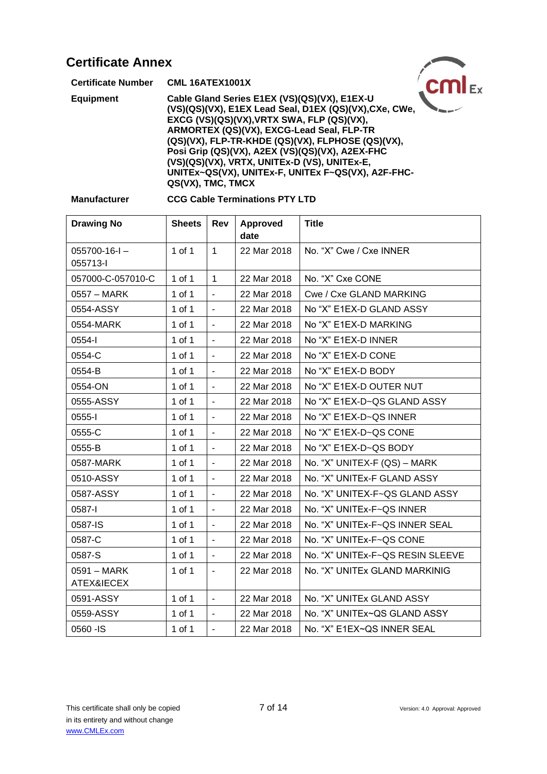| <b>Certificate Annex</b>                                                                                                                                                                                                                                                                                                                                                                                        |                   |
|-----------------------------------------------------------------------------------------------------------------------------------------------------------------------------------------------------------------------------------------------------------------------------------------------------------------------------------------------------------------------------------------------------------------|-------------------|
| <b>CML 16ATEX1001X</b>                                                                                                                                                                                                                                                                                                                                                                                          |                   |
| Cable Gland Series E1EX (VS)(QS)(VX), E1EX-U<br>(VS)(QS)(VX), E1EX Lead Seal, D1EX (QS)(VX), CXe, CWe,<br>EXCG (VS)(QS)(VX), VRTX SWA, FLP (QS)(VX),<br>ARMORTEX (QS)(VX), EXCG-Lead Seal, FLP-TR<br>(QS)(VX), FLP-TR-KHDE (QS)(VX), FLPHOSE (QS)(VX),<br>Posi Grip (QS)(VX), A2EX (VS)(QS)(VX), A2EX-FHC<br>(VS)(QS)(VX), VRTX, UNITEx-D (VS), UNITEx-E,<br>UNITEx~QS(VX), UNITEx-F, UNITEx F~QS(VX), A2F-FHC- |                   |
|                                                                                                                                                                                                                                                                                                                                                                                                                 | QS(VX), TMC, TMCX |

#### **CCG Cable Terminations PTY LTD**

| <b>Drawing No</b>             | <b>Sheets</b> | Rev                      | Approved<br>date | <b>Title</b>                     |
|-------------------------------|---------------|--------------------------|------------------|----------------------------------|
| $055700 - 16 - 1$<br>055713-I | 1 of 1        | $\mathbf{1}$             | 22 Mar 2018      | No. "X" Cwe / Cxe INNER          |
| 057000-C-057010-C             | 1 of 1        | $\mathbf{1}$             | 22 Mar 2018      | No. "X" Cxe CONE                 |
| 0557 - MARK                   | 1 of 1        | $\blacksquare$           | 22 Mar 2018      | Cwe / Cxe GLAND MARKING          |
| 0554-ASSY                     | 1 of 1        | $\blacksquare$           | 22 Mar 2018      | No "X" E1EX-D GLAND ASSY         |
| 0554-MARK                     | 1 of 1        | $\overline{\phantom{a}}$ | 22 Mar 2018      | No "X" E1EX-D MARKING            |
| 0554-l                        | 1 of 1        | $\overline{\phantom{a}}$ | 22 Mar 2018      | No "X" E1EX-D INNER              |
| 0554-C                        | 1 of 1        | $\blacksquare$           | 22 Mar 2018      | No "X" E1EX-D CONE               |
| 0554-B                        | 1 of 1        | $\blacksquare$           | 22 Mar 2018      | No "X" E1EX-D BODY               |
| 0554-ON                       | 1 of 1        | $\blacksquare$           | 22 Mar 2018      | No "X" E1EX-D OUTER NUT          |
| 0555-ASSY                     | 1 of 1        | $\blacksquare$           | 22 Mar 2018      | No "X" E1EX-D~QS GLAND ASSY      |
| $0555 - 1$                    | 1 of 1        | $\blacksquare$           | 22 Mar 2018      | No "X" E1EX-D~QS INNER           |
| 0555-C                        | 1 of 1        | $\blacksquare$           | 22 Mar 2018      | No "X" E1EX-D~QS CONE            |
| 0555-B                        | 1 of 1        | $\sim$                   | 22 Mar 2018      | No "X" E1EX-D~QS BODY            |
| 0587-MARK                     | 1 of 1        | $\mathbf{r}$             | 22 Mar 2018      | No. "X" UNITEX-F (QS) - MARK     |
| 0510-ASSY                     | 1 of 1        | $\blacksquare$           | 22 Mar 2018      | No. "X" UNITEx-F GLAND ASSY      |
| 0587-ASSY                     | 1 of 1        | $\blacksquare$           | 22 Mar 2018      | No. "X" UNITEX-F~QS GLAND ASSY   |
| 0587-I                        | $1$ of $1$    | $\overline{\phantom{a}}$ | 22 Mar 2018      | No. "X" UNITEx-F~QS INNER        |
| 0587-IS                       | $1$ of $1$    | $\blacksquare$           | 22 Mar 2018      | No. "X" UNITEx-F~QS INNER SEAL   |
| 0587-C                        | 1 of 1        | $\blacksquare$           | 22 Mar 2018      | No. "X" UNITEx-F~QS CONE         |
| 0587-S                        | 1 of 1        | $\blacksquare$           | 22 Mar 2018      | No. "X" UNITEx-F~QS RESIN SLEEVE |
| 0591 - MARK<br>ATEX&IECEX     | 1 of 1        | $\overline{\phantom{a}}$ | 22 Mar 2018      | No. "X" UNITEx GLAND MARKINIG    |
| 0591-ASSY                     | 1 of 1        | $\overline{\phantom{a}}$ | 22 Mar 2018      | No. "X" UNITEx GLAND ASSY        |
| 0559-ASSY                     | 1 of 1        | $\blacksquare$           | 22 Mar 2018      | No. "X" UNITEx~QS GLAND ASSY     |
| 0560 - IS                     | 1 of 1        | $\blacksquare$           | 22 Mar 2018      | No. "X" E1EX~QS INNER SEAL       |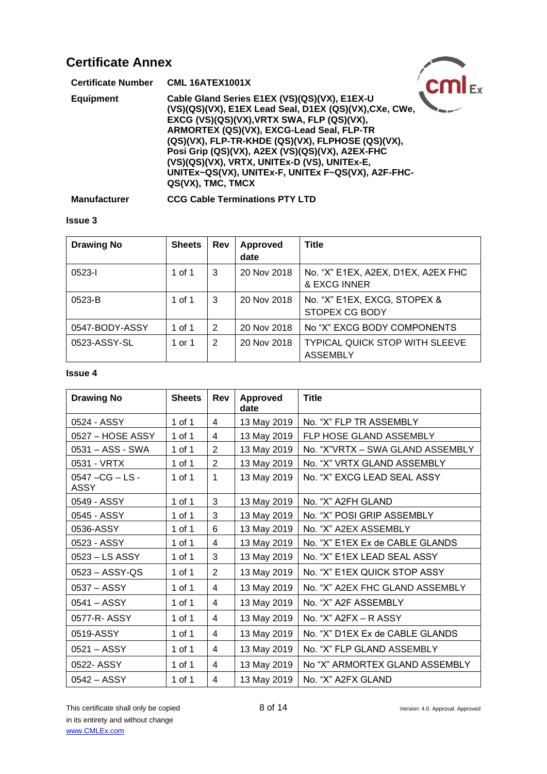| <b>Certificate Annex</b>  |                                                                                                                                                                                                                                                                                                                                                                                                                                      |  |
|---------------------------|--------------------------------------------------------------------------------------------------------------------------------------------------------------------------------------------------------------------------------------------------------------------------------------------------------------------------------------------------------------------------------------------------------------------------------------|--|
| <b>Certificate Number</b> | <b>CML 16ATEX1001X</b>                                                                                                                                                                                                                                                                                                                                                                                                               |  |
| <b>Equipment</b>          | Cable Gland Series E1EX (VS)(QS)(VX), E1EX-U<br>(VS)(QS)(VX), E1EX Lead Seal, D1EX (QS)(VX), CXe, CWe,<br>EXCG (VS)(QS)(VX), VRTX SWA, FLP (QS)(VX),<br>ARMORTEX (QS)(VX), EXCG-Lead Seal, FLP-TR<br>(QS)(VX), FLP-TR-KHDE (QS)(VX), FLPHOSE (QS)(VX),<br>Posi Grip (QS)(VX), A2EX (VS)(QS)(VX), A2EX-FHC<br>(VS)(QS)(VX), VRTX, UNITEx-D (VS), UNITEx-E,<br>UNITEx~QS(VX), UNITEx-F, UNITEx F~QS(VX), A2F-FHC-<br>QS(VX), TMC, TMCX |  |

**Manufacturer CCG Cable Terminations PTY LTD**

### **Issue 3**

| <b>Drawing No</b> | <b>Sheets</b> | Rev | <b>Approved</b><br>date | <b>Title</b>                                             |
|-------------------|---------------|-----|-------------------------|----------------------------------------------------------|
| $0523 - 1$        | 1 of 1        | 3   | 20 Nov 2018             | No. "X" E1EX, A2EX, D1EX, A2EX FHC<br>& EXCG INNER       |
| $0523 - B$        | 1 of 1        | 3   | 20 Nov 2018             | No. "X" E1EX, EXCG, STOPEX &<br>STOPEX CG BODY           |
| 0547-BODY-ASSY    | 1 of 1        | 2   | 20 Nov 2018             | No "X" EXCG BODY COMPONENTS                              |
| 0523-ASSY-SL      | 1 or 1        | 2   | 20 Nov 2018             | <b>TYPICAL QUICK STOP WITH SLEEVE</b><br><b>ASSEMBLY</b> |

| <b>Drawing No</b>               | <b>Sheets</b> | Rev            | <b>Approved</b><br>date | <b>Title</b>                     |
|---------------------------------|---------------|----------------|-------------------------|----------------------------------|
| 0524 - ASSY                     | 1 of 1        | 4              | 13 May 2019             | No. "X" FLP TR ASSEMBLY          |
| 0527 - HOSE ASSY                | 1 of 1        | 4              | 13 May 2019             | FLP HOSE GLAND ASSEMBLY          |
| 0531 - ASS - SWA                | 1 of 1        | $\overline{2}$ | 13 May 2019             | No. "X"VRTX - SWA GLAND ASSEMBLY |
| 0531 - VRTX                     | 1 of 1        | $\overline{2}$ | 13 May 2019             | No. "X" VRTX GLAND ASSEMBLY      |
| 0547 - CG - LS -<br><b>ASSY</b> | 1 of 1        | 1              | 13 May 2019             | No. "X" EXCG LEAD SEAL ASSY      |
| 0549 - ASSY                     | 1 of 1        | 3              | 13 May 2019             | No. "X" A2FH GLAND               |
| 0545 - ASSY                     | 1 of 1        | 3              | 13 May 2019             | No. "X" POSI GRIP ASSEMBLY       |
| 0536-ASSY                       | 1 of 1        | 6              | 13 May 2019             | No. "X" A2EX ASSEMBLY            |
| 0523 - ASSY                     | 1 of 1        | 4              | 13 May 2019             | No. "X" E1EX Ex de CABLE GLANDS  |
| 0523 - LS ASSY                  | 1 of 1        | 3              | 13 May 2019             | No. "X" E1EX LEAD SEAL ASSY      |
| 0523 - ASSY-QS                  | 1 of 1        | $\overline{2}$ | 13 May 2019             | No. "X" E1EX QUICK STOP ASSY     |
| 0537 - ASSY                     | 1 of 1        | 4              | 13 May 2019             | No. "X" A2EX FHC GLAND ASSEMBLY  |
| $0541 - ASSY$                   | 1 of 1        | 4              | 13 May 2019             | No. "X" A2F ASSEMBLY             |
| 0577-R-ASSY                     | 1 of 1        | 4              | 13 May 2019             | No. "X" A2FX - R ASSY            |
| 0519-ASSY                       | 1 of 1        | 4              | 13 May 2019             | No. "X" D1EX Ex de CABLE GLANDS  |
| 0521 - ASSY                     | 1 of 1        | 4              | 13 May 2019             | No. "X" FLP GLAND ASSEMBLY       |
| 0522- ASSY                      | 1 of 1        | 4              | 13 May 2019             | No "X" ARMORTEX GLAND ASSEMBLY   |
| $0542 - ASSY$                   | 1 of 1        | $\overline{4}$ | 13 May 2019             | No. "X" A2FX GLAND               |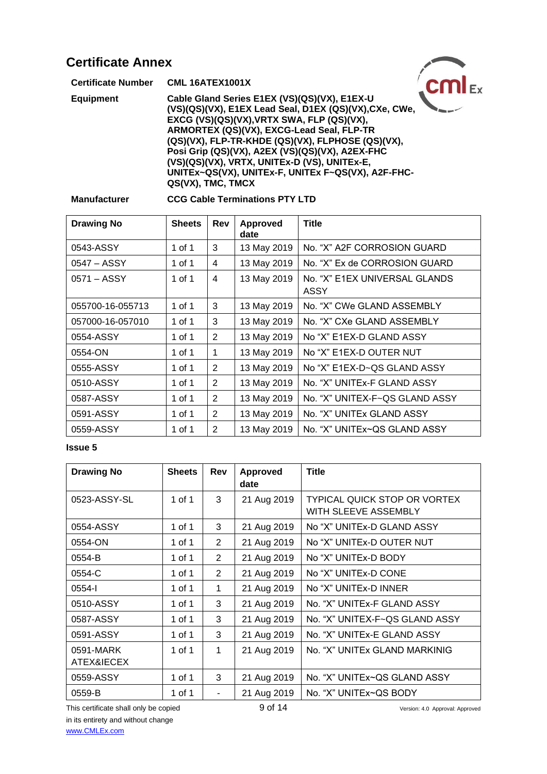| <b>Certificate Annex</b>  |                                                                                                                                                                                                                                                                                                                                                                                                                                      |  |
|---------------------------|--------------------------------------------------------------------------------------------------------------------------------------------------------------------------------------------------------------------------------------------------------------------------------------------------------------------------------------------------------------------------------------------------------------------------------------|--|
| <b>Certificate Number</b> | <b>CML 16ATEX1001X</b>                                                                                                                                                                                                                                                                                                                                                                                                               |  |
| <b>Equipment</b>          | Cable Gland Series E1EX (VS)(QS)(VX), E1EX-U<br>(VS)(QS)(VX), E1EX Lead Seal, D1EX (QS)(VX), CXe, CWe,<br>EXCG (VS)(QS)(VX), VRTX SWA, FLP (QS)(VX),<br>ARMORTEX (QS)(VX), EXCG-Lead Seal, FLP-TR<br>(QS)(VX), FLP-TR-KHDE (QS)(VX), FLPHOSE (QS)(VX),<br>Posi Grip (QS)(VX), A2EX (VS)(QS)(VX), A2EX-FHC<br>(VS)(QS)(VX), VRTX, UNITEx-D (VS), UNITEx-E,<br>UNITEx~QS(VX), UNITEx-F, UNITEx F~QS(VX), A2F-FHC-<br>QS(VX), TMC, TMCX |  |

### **Manufacturer CCG Cable Terminations PTY LTD**

| <b>Drawing No</b> | <b>Sheets</b> | Rev | <b>Approved</b><br>date | <b>Title</b>                                 |
|-------------------|---------------|-----|-------------------------|----------------------------------------------|
| 0543-ASSY         | 1 of 1        | 3   | 13 May 2019             | No. "X" A2F CORROSION GUARD                  |
| 0547 – ASSY       | 1 of 1        | 4   | 13 May 2019             | No. "X" Ex de CORROSION GUARD                |
| 0571 – ASSY       | 1 of 1        | 4   | 13 May 2019             | No. "X" E1EX UNIVERSAL GLANDS<br><b>ASSY</b> |
| 055700-16-055713  | 1 of 1        | 3   | 13 May 2019             | No. "X" CWe GLAND ASSEMBLY                   |
| 057000-16-057010  | 1 of 1        | 3   | 13 May 2019             | No. "X" CXe GLAND ASSEMBLY                   |
| 0554-ASSY         | 1 of 1        | 2   | 13 May 2019             | No "X" E1EX-D GLAND ASSY                     |
| 0554-ON           | 1 of 1        | 1   | 13 May 2019             | No "X" E1EX-D OUTER NUT                      |
| 0555-ASSY         | 1 of 1        | 2   | 13 May 2019             | No "X" E1EX-D~QS GLAND ASSY                  |
| 0510-ASSY         | 1 of 1        | 2   | 13 May 2019             | No. "X" UNITEx-F GLAND ASSY                  |
| 0587-ASSY         | 1 of 1        | 2   | 13 May 2019             | No. "X" UNITEX-F~QS GLAND ASSY               |
| 0591-ASSY         | 1 of 1        | 2   | 13 May 2019             | No. "X" UNITEx GLAND ASSY                    |
| 0559-ASSY         | 1 of 1        | 2   | 13 May 2019             | No. "X" UNITEx~QS GLAND ASSY                 |

#### **Issue 5**

| <b>Drawing No</b>       | <b>Sheets</b> | Rev            | <b>Approved</b><br>date | <b>Title</b>                                                |
|-------------------------|---------------|----------------|-------------------------|-------------------------------------------------------------|
| 0523-ASSY-SL            | 1 of 1        | 3              | 21 Aug 2019             | <b>TYPICAL QUICK STOP OR VORTEX</b><br>WITH SLEEVE ASSEMBLY |
| 0554-ASSY               | 1 of 1        | 3              | 21 Aug 2019             | No "X" UNITEx-D GLAND ASSY                                  |
| 0554-ON                 | 1 of 1        | $\overline{2}$ | 21 Aug 2019             | No "X" UNITEx-D OUTER NUT                                   |
| 0554-B                  | 1 of 1        | $\overline{2}$ | 21 Aug 2019             | No "X" UNITEx-D BODY                                        |
| 0554-C                  | 1 of 1        | 2              | 21 Aug 2019             | No "X" UNITEx-D CONE                                        |
| 0554-l                  | 1 of 1        | 1              | 21 Aug 2019             | No "X" UNITEx-D INNER                                       |
| 0510-ASSY               | 1 of 1        | 3              | 21 Aug 2019             | No. "X" UNITEx-F GLAND ASSY                                 |
| 0587-ASSY               | 1 of 1        | 3              | 21 Aug 2019             | No. "X" UNITEX-F~QS GLAND ASSY                              |
| 0591-ASSY               | 1 of 1        | 3              | 21 Aug 2019             | No. "X" UNITEx-E GLAND ASSY                                 |
| 0591-MARK<br>ATEX&IECEX | 1 of 1        | 1              | 21 Aug 2019             | No. "X" UNITEx GLAND MARKINIG                               |
| 0559-ASSY               | 1 of 1        | 3              | 21 Aug 2019             | No. "X" UNITEx~QS GLAND ASSY                                |
| 0559-B                  | 1 of 1        | $\blacksquare$ | 21 Aug 2019             | No. "X" UNITEx~QS BODY                                      |

This certificate shall only be copied 9 of 14 Version: 4.0 Approval: Approved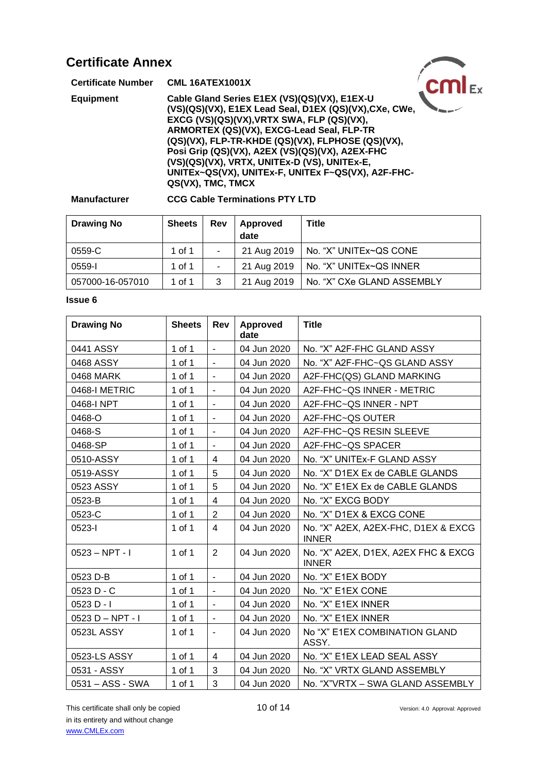| <b>Certificate Annex</b>  |                                                                                                                                                                                                                                                                                                                                                                                                                 |  |
|---------------------------|-----------------------------------------------------------------------------------------------------------------------------------------------------------------------------------------------------------------------------------------------------------------------------------------------------------------------------------------------------------------------------------------------------------------|--|
| <b>Certificate Number</b> | <b>CML 16ATEX1001X</b>                                                                                                                                                                                                                                                                                                                                                                                          |  |
| <b>Equipment</b>          | Cable Gland Series E1EX (VS)(QS)(VX), E1EX-U<br>(VS)(QS)(VX), E1EX Lead Seal, D1EX (QS)(VX), CXe, CWe,<br>EXCG (VS)(QS)(VX), VRTX SWA, FLP (QS)(VX),<br>ARMORTEX (QS)(VX), EXCG-Lead Seal, FLP-TR<br>(QS)(VX), FLP-TR-KHDE (QS)(VX), FLPHOSE (QS)(VX),<br>Posi Grip (QS)(VX), A2EX (VS)(QS)(VX), A2EX-FHC<br>(VS)(QS)(VX), VRTX, UNITEx-D (VS), UNITEx-E,<br>UNITEX~QS(VX), UNITEX-F, UNITEX F~QS(VX), A2F-FHC- |  |
|                           | QS(VX), TMC, TMCX                                                                                                                                                                                                                                                                                                                                                                                               |  |

### **Manufacturer CCG Cable Terminations PTY LTD**

| <b>Drawing No</b> | <b>Sheets</b> | Rev                      | Approved<br>date | Title                      |
|-------------------|---------------|--------------------------|------------------|----------------------------|
| 0559-C            | 1 of 1        | ٠                        | 21 Aug 2019      | No. "X" UNITEx~QS CONE     |
| 0559-l            | 1 of 1        | $\overline{\phantom{a}}$ | 21 Aug 2019      | No. "X" UNITEx~QS INNER    |
| 057000-16-057010  | 1 of 1        | 3                        | 21 Aug 2019      | No. "X" CXe GLAND ASSEMBLY |

| <b>Drawing No</b> | <b>Sheets</b> | Rev                      | Approved<br>date | <b>Title</b>                                        |
|-------------------|---------------|--------------------------|------------------|-----------------------------------------------------|
| 0441 ASSY         | 1 of 1        | $\mathbf{r}$             | 04 Jun 2020      | No. "X" A2F-FHC GLAND ASSY                          |
| 0468 ASSY         | 1 of 1        | $\blacksquare$           | 04 Jun 2020      | No. "X" A2F-FHC~QS GLAND ASSY                       |
| 0468 MARK         | 1 of 1        | $\blacksquare$           | 04 Jun 2020      | A2F-FHC(QS) GLAND MARKING                           |
| 0468-I METRIC     | 1 of 1        | $\overline{\phantom{a}}$ | 04 Jun 2020      | A2F-FHC~QS INNER - METRIC                           |
| 0468-I NPT        | 1 of 1        | $\blacksquare$           | 04 Jun 2020      | A2F-FHC~QS INNER - NPT                              |
| 0468-O            | 1 of 1        | $\overline{\phantom{a}}$ | 04 Jun 2020      | A2F-FHC~QS OUTER                                    |
| 0468-S            | 1 of 1        | $\blacksquare$           | 04 Jun 2020      | A2F-FHC~QS RESIN SLEEVE                             |
| 0468-SP           | 1 of 1        |                          | 04 Jun 2020      | A2F-FHC~QS SPACER                                   |
| 0510-ASSY         | 1 of 1        | $\overline{4}$           | 04 Jun 2020      | No. "X" UNITEx-F GLAND ASSY                         |
| 0519-ASSY         | 1 of 1        | 5                        | 04 Jun 2020      | No. "X" D1EX Ex de CABLE GLANDS                     |
| 0523 ASSY         | 1 of 1        | 5                        | 04 Jun 2020      | No. "X" E1EX Ex de CABLE GLANDS                     |
| 0523-B            | 1 of 1        | $\overline{\mathcal{A}}$ | 04 Jun 2020      | No. "X" EXCG BODY                                   |
| 0523-C            | 1 of 1        | $\overline{2}$           | 04 Jun 2020      | No. "X" D1EX & EXCG CONE                            |
| 0523-l            | 1 of 1        | 4                        | 04 Jun 2020      | No. "X" A2EX, A2EX-FHC, D1EX & EXCG<br><b>INNER</b> |
| $0523 - NPT - I$  | $1$ of $1$    | $\overline{2}$           | 04 Jun 2020      | No. "X" A2EX, D1EX, A2EX FHC & EXCG<br><b>INNER</b> |
| 0523 D-B          | 1 of 1        | $\blacksquare$           | 04 Jun 2020      | No. "X" E1EX BODY                                   |
| 0523 D - C        | 1 of 1        | $\overline{\phantom{a}}$ | 04 Jun 2020      | No. "X" E1EX CONE                                   |
| $0523 D - I$      | 1 of 1        | $\blacksquare$           | 04 Jun 2020      | No. "X" E1EX INNER                                  |
| 0523 D - NPT - I  | 1 of 1        | $\blacksquare$           | 04 Jun 2020      | No. "X" E1EX INNER                                  |
| 0523L ASSY        | 1 of 1        | $\blacksquare$           | 04 Jun 2020      | No "X" E1EX COMBINATION GLAND<br>ASSY.              |
| 0523-LS ASSY      | 1 of 1        | 4                        | 04 Jun 2020      | No. "X" E1EX LEAD SEAL ASSY                         |
| 0531 - ASSY       | 1 of 1        | 3                        | 04 Jun 2020      | No. "X" VRTX GLAND ASSEMBLY                         |
| 0531 - ASS - SWA  | 1 of 1        | 3                        | 04 Jun 2020      | No. "X"VRTX - SWA GLAND ASSEMBLY                    |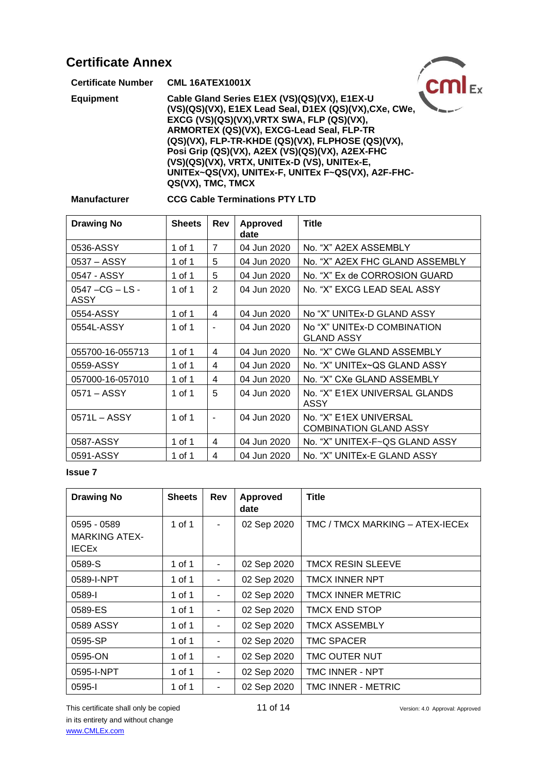| <b>Certificate Annex</b>  |                                                                                                                                                                                                                                                                                                                                                                                                                                      |
|---------------------------|--------------------------------------------------------------------------------------------------------------------------------------------------------------------------------------------------------------------------------------------------------------------------------------------------------------------------------------------------------------------------------------------------------------------------------------|
| <b>Certificate Number</b> | <b>CML 16ATEX1001X</b>                                                                                                                                                                                                                                                                                                                                                                                                               |
| <b>Equipment</b>          | Cable Gland Series E1EX (VS)(QS)(VX), E1EX-U<br>(VS)(QS)(VX), E1EX Lead Seal, D1EX (QS)(VX), CXe, CWe,<br>EXCG (VS)(QS)(VX), VRTX SWA, FLP (QS)(VX),<br>ARMORTEX (QS)(VX), EXCG-Lead Seal, FLP-TR<br>(QS)(VX), FLP-TR-KHDE (QS)(VX), FLPHOSE (QS)(VX),<br>Posi Grip (QS)(VX), A2EX (VS)(QS)(VX), A2EX-FHC<br>(VS)(QS)(VX), VRTX, UNITEx-D (VS), UNITEx-E,<br>UNITEx~QS(VX), UNITEx-F, UNITEx F~QS(VX), A2F-FHC-<br>QS(VX), TMC, TMCX |

## **Manufacturer CCG Cable Terminations PTY LTD**

| <b>Drawing No</b>        | <b>Sheets</b> | Rev            | <b>Approved</b><br>date | <b>Title</b>                                            |
|--------------------------|---------------|----------------|-------------------------|---------------------------------------------------------|
| 0536-ASSY                | 1 of 1        | $\overline{7}$ | 04 Jun 2020             | No. "X" A2EX ASSEMBLY                                   |
| 0537 - ASSY              | 1 of 1        | 5              | 04 Jun 2020             | No. "X" A2EX FHC GLAND ASSEMBLY                         |
| 0547 - ASSY              | 1 of 1        | 5              | 04 Jun 2020             | No. "X" Ex de CORROSION GUARD                           |
| 0547 - CG - LS -<br>ASSY | 1 of 1        | 2              | 04 Jun 2020             | No. "X" EXCG LEAD SEAL ASSY                             |
| 0554-ASSY                | 1 of 1        | 4              | 04 Jun 2020             | No "X" UNITEx-D GLAND ASSY                              |
| 0554L-ASSY               | 1 of 1        | $\blacksquare$ | 04 Jun 2020             | No "X" UNITEx-D COMBINATION<br><b>GLAND ASSY</b>        |
| 055700-16-055713         | 1 of 1        | 4              | 04 Jun 2020             | No. "X" CWe GLAND ASSEMBLY                              |
| 0559-ASSY                | 1 of 1        | 4              | 04 Jun 2020             | No. "X" UNITEx~QS GLAND ASSY                            |
| 057000-16-057010         | 1 of 1        | 4              | 04 Jun 2020             | No. "X" CXe GLAND ASSEMBLY                              |
| $0571 - ASSY$            | 1 of 1        | 5              | 04 Jun 2020             | No. "X" E1EX UNIVERSAL GLANDS<br>ASSY                   |
| $0571L - ASSY$           | 1 of 1        | $\sim$         | 04 Jun 2020             | No. "X" E1EX UNIVERSAL<br><b>COMBINATION GLAND ASSY</b> |
| 0587-ASSY                | 1 of 1        | 4              | 04 Jun 2020             | No. "X" UNITEX-F~QS GLAND ASSY                          |
| 0591-ASSY                | 1 of 1        | 4              | 04 Jun 2020             | No. "X" UNITEx-E GLAND ASSY                             |

| <b>Drawing No</b>                                   | <b>Sheets</b> | Rev                      | <b>Approved</b><br>date | <b>Title</b>                    |
|-----------------------------------------------------|---------------|--------------------------|-------------------------|---------------------------------|
| 0595 - 0589<br><b>MARKING ATEX-</b><br><b>IECEx</b> | $1$ of $1$    | $\overline{\phantom{a}}$ | 02 Sep 2020             | TMC / TMCX MARKING - ATEX-IECEx |
| 0589-S                                              | 1 of 1        | $\blacksquare$           | 02 Sep 2020             | TMCX RESIN SLEEVE               |
| 0589-I-NPT                                          | 1 of 1        | $\overline{a}$           | 02 Sep 2020             | <b>TMCX INNER NPT</b>           |
| 0589-l                                              | 1 of 1        | $\overline{a}$           | 02 Sep 2020             | <b>TMCX INNER METRIC</b>        |
| 0589-ES                                             | 1 of 1        | $\overline{\phantom{a}}$ | 02 Sep 2020             | <b>TMCX END STOP</b>            |
| 0589 ASSY                                           | 1 of 1        | $\blacksquare$           | 02 Sep 2020             | <b>TMCX ASSEMBLY</b>            |
| 0595-SP                                             | 1 of 1        | $\overline{\phantom{a}}$ | 02 Sep 2020             | TMC SPACER                      |
| 0595-ON                                             | 1 of 1        | $\overline{\phantom{a}}$ | 02 Sep 2020             | <b>TMC OUTER NUT</b>            |
| 0595-I-NPT                                          | 1 of 1        | $\overline{\phantom{a}}$ | 02 Sep 2020             | TMC INNER - NPT                 |
| 0595-l                                              | 1 of 1        | $\blacksquare$           | 02 Sep 2020             | TMC INNER - METRIC              |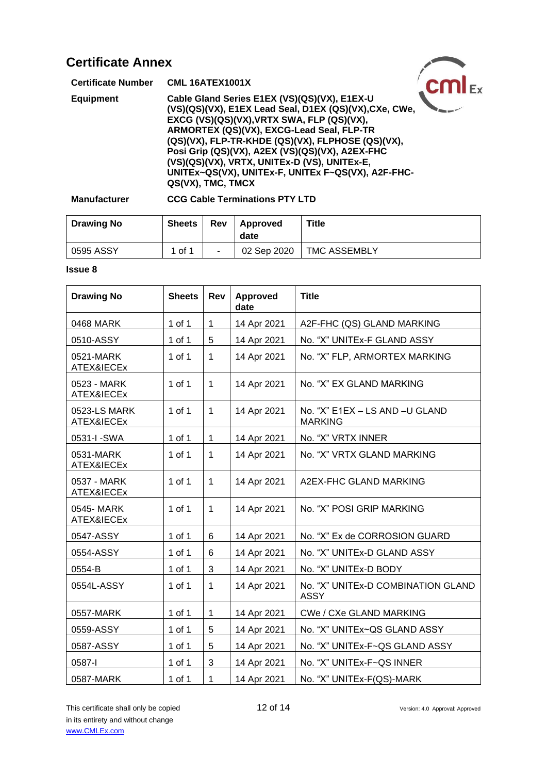| <b>Certificate Annex</b>  |                                                                                                                                                                                                                                                                                                                                                                                                                                      |  |
|---------------------------|--------------------------------------------------------------------------------------------------------------------------------------------------------------------------------------------------------------------------------------------------------------------------------------------------------------------------------------------------------------------------------------------------------------------------------------|--|
| <b>Certificate Number</b> | <b>CML 16ATEX1001X</b>                                                                                                                                                                                                                                                                                                                                                                                                               |  |
| <b>Equipment</b>          | Cable Gland Series E1EX (VS)(QS)(VX), E1EX-U<br>(VS)(QS)(VX), E1EX Lead Seal, D1EX (QS)(VX), CXe, CWe,<br>EXCG (VS)(QS)(VX), VRTX SWA, FLP (QS)(VX),<br>ARMORTEX (QS)(VX), EXCG-Lead Seal, FLP-TR<br>(QS)(VX), FLP-TR-KHDE (QS)(VX), FLPHOSE (QS)(VX),<br>Posi Grip (QS)(VX), A2EX (VS)(QS)(VX), A2EX-FHC<br>(VS)(QS)(VX), VRTX, UNITEx-D (VS), UNITEx-E,<br>UNITEx~QS(VX), UNITEx-F, UNITEx F~QS(VX), A2F-FHC-<br>QS(VX), TMC, TMCX |  |

#### **Manufacturer CCG Cable Terminations PTY LTD**

| <b>Drawing No</b> | <b>Sheets</b> | Rev | Approved<br>date | Title                      |
|-------------------|---------------|-----|------------------|----------------------------|
| 0595 ASSY         | 1 of 1        | ۰   |                  | 02 Sep 2020   TMC ASSEMBLY |

| <b>Drawing No</b>          | <b>Sheets</b> | Rev          | <b>Approved</b><br>date | <b>Title</b>                                      |
|----------------------------|---------------|--------------|-------------------------|---------------------------------------------------|
| 0468 MARK                  | 1 of 1        | 1            | 14 Apr 2021             | A2F-FHC (QS) GLAND MARKING                        |
| 0510-ASSY                  | $1$ of $1$    | 5            | 14 Apr 2021             | No. "X" UNITEx-F GLAND ASSY                       |
| 0521-MARK<br>ATEX&IECEx    | 1 of 1        | $\mathbf{1}$ | 14 Apr 2021             | No. "X" FLP, ARMORTEX MARKING                     |
| 0523 - MARK<br>ATEX&IECEx  | 1 of 1        | $\mathbf 1$  | 14 Apr 2021             | No. "X" EX GLAND MARKING                          |
| 0523-LS MARK<br>ATEX&IECEx | $1$ of $1$    | 1            | 14 Apr 2021             | No. "X" E1EX - LS AND -U GLAND<br><b>MARKING</b>  |
| 0531-I-SWA                 | 1 of 1        | $\mathbf{1}$ | 14 Apr 2021             | No. "X" VRTX INNER                                |
| 0531-MARK<br>ATEX&IECEx    | $1$ of $1$    | $\mathbf{1}$ | 14 Apr 2021             | No. "X" VRTX GLAND MARKING                        |
| 0537 - MARK<br>ATEX&IECEx  | 1 of 1        | $\mathbf{1}$ | 14 Apr 2021             | A2EX-FHC GLAND MARKING                            |
| 0545-MARK<br>ATEX&IECEx    | $1$ of $1$    | $\mathbf{1}$ | 14 Apr 2021             | No. "X" POSI GRIP MARKING                         |
| 0547-ASSY                  | $1$ of $1$    | 6            | 14 Apr 2021             | No. "X" Ex de CORROSION GUARD                     |
| 0554-ASSY                  | $1$ of $1$    | 6            | 14 Apr 2021             | No. "X" UNITEx-D GLAND ASSY                       |
| 0554-B                     | 1 of 1        | 3            | 14 Apr 2021             | No. "X" UNITEx-D BODY                             |
| 0554L-ASSY                 | 1 of 1        | $\mathbf 1$  | 14 Apr 2021             | No. "X" UNITEx-D COMBINATION GLAND<br><b>ASSY</b> |
| 0557-MARK                  | 1 of 1        | 1            | 14 Apr 2021             | CWe / CXe GLAND MARKING                           |
| 0559-ASSY                  | 1 of 1        | 5            | 14 Apr 2021             | No. "X" UNITEx~QS GLAND ASSY                      |
| 0587-ASSY                  | 1 of 1        | 5            | 14 Apr 2021             | No. "X" UNITEx-F~QS GLAND ASSY                    |
| 0587-l                     | 1 of 1        | 3            | 14 Apr 2021             | No. "X" UNITEx-F~QS INNER                         |
| 0587-MARK                  | 1 of 1        | 1            | 14 Apr 2021             | No. "X" UNITEx-F(QS)-MARK                         |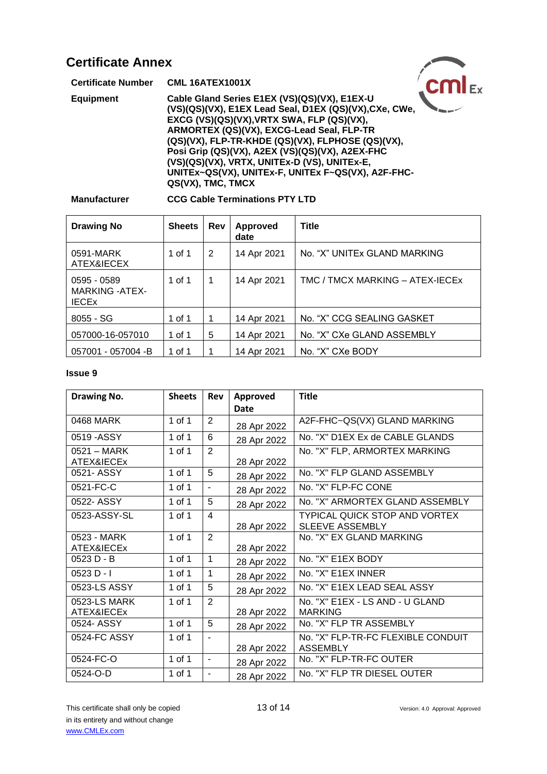| <b>Certificate Annex</b>  |                                                                                                                                                                                                                                                                                                                                                                                                                                      |  |
|---------------------------|--------------------------------------------------------------------------------------------------------------------------------------------------------------------------------------------------------------------------------------------------------------------------------------------------------------------------------------------------------------------------------------------------------------------------------------|--|
| <b>Certificate Number</b> | <b>CML 16ATEX1001X</b>                                                                                                                                                                                                                                                                                                                                                                                                               |  |
| <b>Equipment</b>          | Cable Gland Series E1EX (VS)(QS)(VX), E1EX-U<br>(VS)(QS)(VX), E1EX Lead Seal, D1EX (QS)(VX), CXe, CWe,<br>EXCG (VS)(QS)(VX), VRTX SWA, FLP (QS)(VX),<br>ARMORTEX (QS)(VX), EXCG-Lead Seal, FLP-TR<br>(QS)(VX), FLP-TR-KHDE (QS)(VX), FLPHOSE (QS)(VX),<br>Posi Grip (QS)(VX), A2EX (VS)(QS)(VX), A2EX-FHC<br>(VS)(QS)(VX), VRTX, UNITEx-D (VS), UNITEx-E,<br>UNITEx~QS(VX), UNITEx-F, UNITEx F~QS(VX), A2F-FHC-<br>QS(VX), TMC, TMCX |  |

### **Manufacturer CCG Cable Terminations PTY LTD**

| <b>Drawing No</b>                                     | <b>Sheets</b> | <b>Rev</b> | <b>Approved</b><br>date | Title                           |
|-------------------------------------------------------|---------------|------------|-------------------------|---------------------------------|
| 0591-MARK<br>ATEX&IECEX                               | 1 of 1        | 2          | 14 Apr 2021             | No. "X" UNITEx GLAND MARKING    |
| 0595 - 0589<br><b>MARKING - ATEX-</b><br><b>IECEX</b> | 1 of 1        | 1          | 14 Apr 2021             | TMC / TMCX MARKING - ATEX-IECEx |
| $8055 - SG$                                           | 1 of 1        | 1          | 14 Apr 2021             | No. "X" CCG SEALING GASKET      |
| 057000-16-057010                                      | 1 of 1        | 5          | 14 Apr 2021             | No. "X" CXe GLAND ASSEMBLY      |
| 057001 - 057004 -B                                    | 1 of 1        |            | 14 Apr 2021             | No. "X" CXe BODY                |

| <b>Drawing No.</b>                 | <b>Sheets</b> | <b>Rev</b>     | Approved<br>Date | <b>Title</b>                                                   |
|------------------------------------|---------------|----------------|------------------|----------------------------------------------------------------|
| 0468 MARK                          | 1 of 1        | $\overline{2}$ | 28 Apr 2022      | A2F-FHC~QS(VX) GLAND MARKING                                   |
| 0519 - ASSY                        | 1 of 1        | 6              | 28 Apr 2022      | No. "X" D1EX Ex de CABLE GLANDS                                |
| $0521 - \text{MARK}$<br>ATEX&IECEx | $1$ of $1$    | 2              | 28 Apr 2022      | No. "X" FLP, ARMORTEX MARKING                                  |
| 0521-ASSY                          | 1 of 1        | 5              | 28 Apr 2022      | No. "X" FLP GLAND ASSEMBLY                                     |
| 0521-FC-C                          | 1 of 1        | $\sim$         | 28 Apr 2022      | No. "X" FLP-FC CONE                                            |
| 0522- ASSY                         | 1 of 1        | 5              | 28 Apr 2022      | No. "X" ARMORTEX GLAND ASSEMBLY                                |
| 0523-ASSY-SL                       | 1 of 1        | $\overline{4}$ | 28 Apr 2022      | <b>TYPICAL QUICK STOP AND VORTEX</b><br><b>SLEEVE ASSEMBLY</b> |
| 0523 - MARK<br>ATEX&IECEx          | 1 of 1        | $\overline{2}$ | 28 Apr 2022      | No. "X" EX GLAND MARKING                                       |
| 0523 D - B                         | 1 of 1        | $\mathbf 1$    | 28 Apr 2022      | No. "X" E1EX BODY                                              |
| $0523 D - I$                       | 1 of 1        | 1              | 28 Apr 2022      | No. "X" E1EX INNER                                             |
| 0523-LS ASSY                       | 1 of 1        | 5              | 28 Apr 2022      | No. "X" E1EX LEAD SEAL ASSY                                    |
| 0523-LS MARK<br>ATEX&IECEx         | 1 of 1        | 2              | 28 Apr 2022      | No. "X" E1EX - LS AND - U GLAND<br><b>MARKING</b>              |
| 0524- ASSY                         | 1 of 1        | 5              | 28 Apr 2022      | No. "X" FLP TR ASSEMBLY                                        |
| 0524-FC ASSY                       | 1 of 1        |                | 28 Apr 2022      | No. "X" FLP-TR-FC FLEXIBLE CONDUIT<br><b>ASSEMBLY</b>          |
| 0524-FC-O                          | 1 of 1        | $\blacksquare$ | 28 Apr 2022      | No. "X" FLP-TR-FC OUTER                                        |
| 0524-O-D                           | 1 of 1        | $\sim$         | 28 Apr 2022      | No. "X" FLP TR DIESEL OUTER                                    |